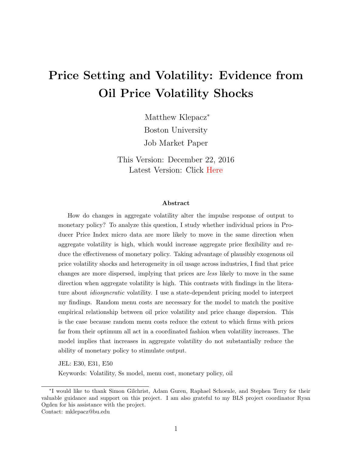# Price Setting and Volatility: Evidence from Oil Price Volatility Shocks

Matthew Klepacz<sup>\*</sup> Boston University Job Market Paper

This Version: December 22, 2016 Latest Version: Click [Here](https://docs.google.com/viewer?a=v&pid=sites&srcid=ZGVmYXVsdGRvbWFpbnxtYXR0aGV3a2xlcGFjenxneDo0YzdmNTU5NzFlZDY5ODk0)

#### Abstract

How do changes in aggregate volatility alter the impulse response of output to monetary policy? To analyze this question, I study whether individual prices in Producer Price Index micro data are more likely to move in the same direction when aggregate volatility is high, which would increase aggregate price flexibility and reduce the effectiveness of monetary policy. Taking advantage of plausibly exogenous oil price volatility shocks and heterogeneity in oil usage across industries, I find that price changes are more dispersed, implying that prices are less likely to move in the same direction when aggregate volatility is high. This contrasts with findings in the literature about idiosyncratic volatility. I use a state-dependent pricing model to interpret my findings. Random menu costs are necessary for the model to match the positive empirical relationship between oil price volatility and price change dispersion. This is the case because random menu costs reduce the extent to which firms with prices far from their optimum all act in a coordinated fashion when volatility increases. The model implies that increases in aggregate volatility do not substantially reduce the ability of monetary policy to stimulate output.

JEL: E30, E31, E50

Keywords: Volatility, Ss model, menu cost, monetary policy, oil

<sup>∗</sup> I would like to thank Simon Gilchrist, Adam Guren, Raphael Schoenle, and Stephen Terry for their valuable guidance and support on this project. I am also grateful to my BLS project coordinator Ryan Ogden for his assistance with the project.

Contact: mklepacz@bu.edu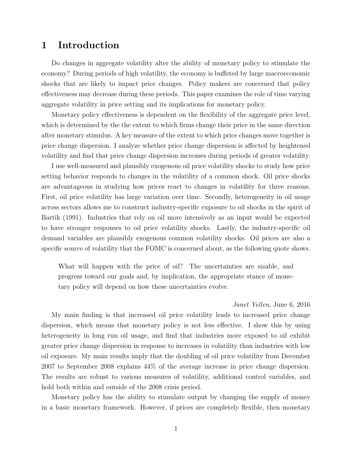# 1 Introduction

Do changes in aggregate volatility alter the ability of monetary policy to stimulate the economy? During periods of high volatility, the economy is buffeted by large macroeconomic shocks that are likely to impact price changes. Policy makers are concerned that policy effectiveness may decrease during these periods. This paper examines the role of time varying aggregate volatility in price setting and its implications for monetary policy.

Monetary policy effectiveness is dependent on the flexibility of the aggregate price level, which is determined by the the extent to which firms change their price in the same direction after monetary stimulus. A key measure of the extent to which price changes move together is price change dispersion. I analyze whether price change dispersion is affected by heightened volatility and find that price change dispersion increases during periods of greater volatility.

I use well-measured and plausibly exogenous oil price volatility shocks to study how price setting behavior responds to changes in the volatility of a common shock. Oil price shocks are advantageous in studying how prices react to changes in volatility for three reasons. First, oil price volatility has large variation over time. Secondly, heterogeneity in oil usage across sectors allows me to construct industry-specific exposure to oil shocks in the spirit of Bartik (1991). Industries that rely on oil more intensively as an input would be expected to have stronger responses to oil price volatility shocks. Lastly, the industry-specific oil demand variables are plausibly exogenous common volatility shocks. Oil prices are also a specific source of volatility that the FOMC is concerned about, as the following quote shows.

What will happen with the price of oil? The uncertainties are sizable, and progress toward our goals and, by implication, the appropriate stance of monetary policy will depend on how these uncertainties evolve.

#### Janet Yellen, June 6, 2016

My main finding is that increased oil price volatility leads to increased price change dispersion, which means that monetary policy is not less effective. I show this by using heterogeneity in long run oil usage, and find that industries more exposed to oil exhibit greater price change dispersion in response to increases in volatility than industries with low oil exposure. My main results imply that the doubling of oil price volatility from December 2007 to September 2008 explains 44% of the average increase in price change dispersion. The results are robust to various measures of volatility, additional control variables, and hold both within and outside of the 2008 crisis period.

Monetary policy has the ability to stimulate output by changing the supply of money in a basic monetary framework. However, if prices are completely flexible, then monetary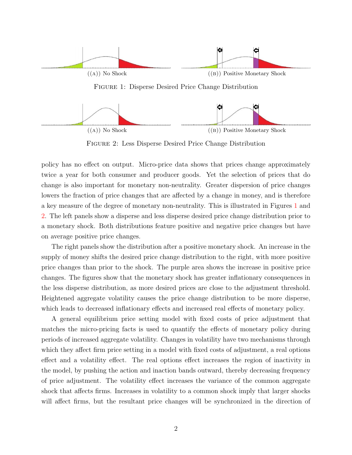<span id="page-2-1"></span><span id="page-2-0"></span>

Figure 2: Less Disperse Desired Price Change Distribution

policy has no effect on output. Micro-price data shows that prices change approximately twice a year for both consumer and producer goods. Yet the selection of prices that do change is also important for monetary non-neutrality. Greater dispersion of price changes lowers the fraction of price changes that are affected by a change in money, and is therefore a key measure of the degree of monetary non-neutrality. This is illustrated in Figures [1](#page-2-0) and [2.](#page-2-1) The left panels show a disperse and less disperse desired price change distribution prior to a monetary shock. Both distributions feature positive and negative price changes but have on average positive price changes.

The right panels show the distribution after a positive monetary shock. An increase in the supply of money shifts the desired price change distribution to the right, with more positive price changes than prior to the shock. The purple area shows the increase in positive price changes. The figures show that the monetary shock has greater inflationary consequences in the less disperse distribution, as more desired prices are close to the adjustment threshold. Heightened aggregate volatility causes the price change distribution to be more disperse, which leads to decreased inflationary effects and increased real effects of monetary policy.

A general equilibrium price setting model with fixed costs of price adjustment that matches the micro-pricing facts is used to quantify the effects of monetary policy during periods of increased aggregate volatility. Changes in volatility have two mechanisms through which they affect firm price setting in a model with fixed costs of adjustment, a real options effect and a volatility effect. The real options effect increases the region of inactivity in the model, by pushing the action and inaction bands outward, thereby decreasing frequency of price adjustment. The volatility effect increases the variance of the common aggregate shock that affects firms. Increases in volatility to a common shock imply that larger shocks will affect firms, but the resultant price changes will be synchronized in the direction of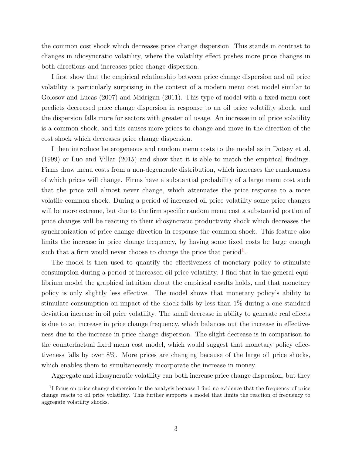the common cost shock which decreases price change dispersion. This stands in contrast to changes in idiosyncratic volatility, where the volatility effect pushes more price changes in both directions and increases price change dispersion.

I first show that the empirical relationship between price change dispersion and oil price volatility is particularly surprising in the context of a modern menu cost model similar to Golosov and Lucas (2007) and Midrigan (2011). This type of model with a fixed menu cost predicts decreased price change dispersion in response to an oil price volatility shock, and the dispersion falls more for sectors with greater oil usage. An increase in oil price volatility is a common shock, and this causes more prices to change and move in the direction of the cost shock which decreases price change dispersion.

I then introduce heterogeneous and random menu costs to the model as in Dotsey et al. (1999) or Luo and Villar (2015) and show that it is able to match the empirical findings. Firms draw menu costs from a non-degenerate distribution, which increases the randomness of which prices will change. Firms have a substantial probability of a large menu cost such that the price will almost never change, which attenuates the price response to a more volatile common shock. During a period of increased oil price volatility some price changes will be more extreme, but due to the firm specific random menu cost a substantial portion of price changes will be reacting to their idiosyncratic productivity shock which decreases the synchronization of price change direction in response the common shock. This feature also limits the increase in price change frequency, by having some fixed costs be large enough such that a firm would never choose to change the price that  $period<sup>1</sup>$  $period<sup>1</sup>$  $period<sup>1</sup>$ .

The model is then used to quantify the effectiveness of monetary policy to stimulate consumption during a period of increased oil price volatility. I find that in the general equilibrium model the graphical intuition about the empirical results holds, and that monetary policy is only slightly less effective. The model shows that monetary policy's ability to stimulate consumption on impact of the shock falls by less than 1% during a one standard deviation increase in oil price volatility. The small decrease in ability to generate real effects is due to an increase in price change frequency, which balances out the increase in effectiveness due to the increase in price change dispersion. The slight decrease is in comparison to the counterfactual fixed menu cost model, which would suggest that monetary policy effectiveness falls by over 8%. More prices are changing because of the large oil price shocks, which enables them to simultaneously incorporate the increase in money.

<span id="page-3-0"></span>Aggregate and idiosyncratic volatility can both increase price change dispersion, but they

<sup>&</sup>lt;sup>1</sup>I focus on price change dispersion in the analysis because I find no evidence that the frequency of price change reacts to oil price volatility. This further supports a model that limits the reaction of frequency to aggregate volatility shocks.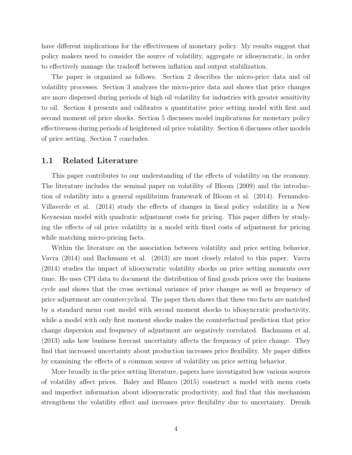have different implications for the effectiveness of monetary policy. My results suggest that policy makers need to consider the source of volatility, aggregate or idiosyncratic, in order to effectively manage the tradeoff between inflation and output stabilization.

The paper is organized as follows. Section 2 describes the micro-price data and oil volatility processes. Section 3 analyzes the micro-price data and shows that price changes are more dispersed during periods of high oil volatility for industries with greater sensitivity to oil. Section 4 presents and calibrates a quantitative price setting model with first and second moment oil price shocks. Section 5 discusses model implications for monetary policy effectiveness during periods of heightened oil price volatility. Section 6 discusses other models of price setting. Section 7 concludes.

### 1.1 Related Literature

This paper contributes to our understanding of the effects of volatility on the economy. The literature includes the seminal paper on volatility of Bloom (2009) and the introduction of volatility into a general equilibrium framework of Bloom et al. (2014). Fernandez-Villaverde et al. (2014) study the effects of changes in fiscal policy volatility in a New Keynesian model with quadratic adjustment costs for pricing. This paper differs by studying the effects of oil price volatility in a model with fixed costs of adjustment for pricing while matching micro-pricing facts.

Within the literature on the association between volatility and price setting behavior, Vavra (2014) and Bachmann et al. (2013) are most closely related to this paper. Vavra (2014) studies the impact of idiosyncratic volatility shocks on price setting moments over time. He uses CPI data to document the distribution of final goods prices over the business cycle and shows that the cross sectional variance of price changes as well as frequency of price adjustment are countercyclical. The paper then shows that these two facts are matched by a standard menu cost model with second moment shocks to idiosyncratic productivity, while a model with only first moment shocks makes the counterfactual prediction that price change dispersion and frequency of adjustment are negatively correlated. Bachmann et al. (2013) asks how business forecast uncertainty affects the frequency of price change. They find that increased uncertainty about production increases price flexibility. My paper differs by examining the effects of a common source of volatility on price setting behavior.

More broadly in the price setting literature, papers have investigated how various sources of volatility affect prices. Baley and Blanco (2015) construct a model with menu costs and imperfect information about idiosyncratic productivity, and find that this mechanism strengthens the volatility effect and increases price flexibility due to uncertainty. Drenik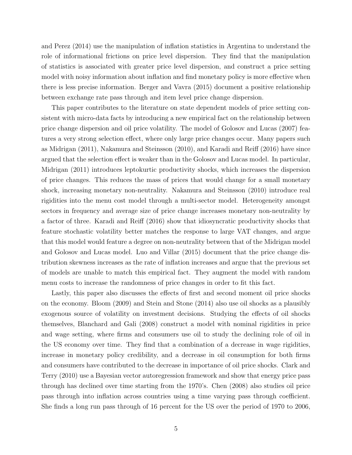and Perez (2014) use the manipulation of inflation statistics in Argentina to understand the role of informational frictions on price level dispersion. They find that the manipulation of statistics is associated with greater price level dispersion, and construct a price setting model with noisy information about inflation and find monetary policy is more effective when there is less precise information. Berger and Vavra (2015) document a positive relationship between exchange rate pass through and item level price change dispersion.

This paper contributes to the literature on state dependent models of price setting consistent with micro-data facts by introducing a new empirical fact on the relationship between price change dispersion and oil price volatility. The model of Golosov and Lucas (2007) features a very strong selection effect, where only large price changes occur. Many papers such as Midrigan (2011), Nakamura and Steinsson (2010), and Karadi and Reiff (2016) have since argued that the selection effect is weaker than in the Golosov and Lucas model. In particular, Midrigan (2011) introduces leptokurtic productivity shocks, which increases the dispersion of price changes. This reduces the mass of prices that would change for a small monetary shock, increasing monetary non-neutrality. Nakamura and Steinsson (2010) introduce real rigidities into the menu cost model through a multi-sector model. Heterogeneity amongst sectors in frequency and average size of price change increases monetary non-neutrality by a factor of three. Karadi and Reiff (2016) show that idiosyncratic productivity shocks that feature stochastic volatility better matches the response to large VAT changes, and argue that this model would feature a degree on non-neutrality between that of the Midrigan model and Golosov and Lucas model. Luo and Villar (2015) document that the price change distribution skewness increases as the rate of inflation increases and argue that the previous set of models are unable to match this empirical fact. They augment the model with random menu costs to increase the randomness of price changes in order to fit this fact.

Lastly, this paper also discusses the effects of first and second moment oil price shocks on the economy. Bloom (2009) and Stein and Stone (2014) also use oil shocks as a plausibly exogenous source of volatility on investment decisions. Studying the effects of oil shocks themselves, Blanchard and Gali (2008) construct a model with nominal rigidities in price and wage setting, where firms and consumers use oil to study the declining role of oil in the US economy over time. They find that a combination of a decrease in wage rigidities, increase in monetary policy credibility, and a decrease in oil consumption for both firms and consumers have contributed to the decrease in importance of oil price shocks. Clark and Terry (2010) use a Bayesian vector autoregression framework and show that energy price pass through has declined over time starting from the 1970's. Chen (2008) also studies oil price pass through into inflation across countries using a time varying pass through coefficient. She finds a long run pass through of 16 percent for the US over the period of 1970 to 2006,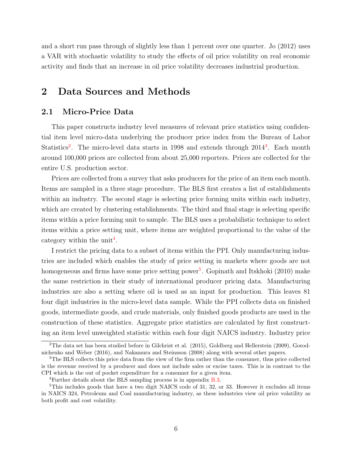and a short run pass through of slightly less than 1 percent over one quarter. Jo (2012) uses a VAR with stochastic volatility to study the effects of oil price volatility on real economic activity and finds that an increase in oil price volatility decreases industrial production.

# 2 Data Sources and Methods

# 2.1 Micro-Price Data

This paper constructs industry level measures of relevant price statistics using confidential item level micro-data underlying the producer price index from the Bureau of Labor Statistics<sup>[2](#page-6-0)</sup>. The micro-level data starts in 1998 and extends through 2014<sup>[3](#page-6-1)</sup>. Each month around 100,000 prices are collected from about 25,000 reporters. Prices are collected for the entire U.S. production sector.

Prices are collected from a survey that asks producers for the price of an item each month. Items are sampled in a three stage procedure. The BLS first creates a list of establishments within an industry. The second stage is selecting price forming units within each industry, which are created by clustering establishments. The third and final stage is selecting specific items within a price forming unit to sample. The BLS uses a probabilistic technique to select items within a price setting unit, where items are weighted proportional to the value of the category within the unit<sup>[4](#page-6-2)</sup>.

I restrict the pricing data to a subset of items within the PPI. Only manufacturing industries are included which enables the study of price setting in markets where goods are not homogeneous and firms have some price setting power<sup>[5](#page-6-3)</sup>. Gopinath and Itskhoki (2010) make the same restriction in their study of international producer pricing data. Manufacturing industries are also a setting where oil is used as an input for production. This leaves 81 four digit industries in the micro-level data sample. While the PPI collects data on finished goods, intermediate goods, and crude materials, only finished goods products are used in the construction of these statistics. Aggregate price statistics are calculated by first constructing an item level unweighted statistic within each four digit NAICS industry. Industry price

<span id="page-6-0"></span><sup>&</sup>lt;sup>2</sup>The data set has been studied before in Gilchrist et al.  $(2015)$ , Goldberg and Hellerstein  $(2009)$ , Gorodnichenko and Weber (2016), and Nakamura and Steinsson (2008) along with several other papers.

<span id="page-6-1"></span><sup>3</sup>The BLS collects this price data from the view of the firm rather than the consumer, thus price collected is the revenue received by a producer and does not include sales or excise taxes. This is in contrast to the CPI which is the out of pocket expenditure for a consumer for a given item.

<span id="page-6-3"></span><span id="page-6-2"></span><sup>4</sup>Further details about the BLS sampling process is in appendix [B.3.](#page-46-0)

<sup>&</sup>lt;sup>5</sup>This includes goods that have a two digit NAICS code of 31, 32, or 33. However it excludes all items in NAICS 324, Petroleum and Coal manufacturing industry, as these industries view oil price volatility as both profit and cost volatility.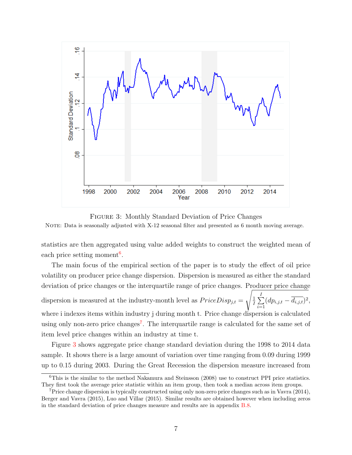<span id="page-7-2"></span>

Figure 3: Monthly Standard Deviation of Price Changes NOTE: Data is seasonally adjusted with X-12 seasonal filter and presented as 6 month moving average.

statistics are then aggregated using value added weights to construct the weighted mean of each price setting moment<sup>[6](#page-7-0)</sup>.

The main focus of the empirical section of the paper is to study the effect of oil price volatility on producer price change dispersion. Dispersion is measured as either the standard deviation of price changes or the interquartile range of price changes. Producer price change dispersion is measured at the industry-month level as  $PriceDisp_{j,t} =$  $\sqrt{1}$  $\frac{1}{I}\sum$  $i=1$  $(dp_{i,j,t} - \overline{d_{i,j,t}})^2,$ where i indexes items within industry j during month t. Price change dispersion is calculated using only non-zero price changes<sup>[7](#page-7-1)</sup>. The interquartile range is calculated for the same set of item level price changes within an industry at time t.

Figure [3](#page-7-2) shows aggregate price change standard deviation during the 1998 to 2014 data sample. It shows there is a large amount of variation over time ranging from 0.09 during 1999 up to 0.15 during 2003. During the Great Recession the dispersion measure increased from

<span id="page-7-0"></span><sup>&</sup>lt;sup>6</sup>This is the similar to the method Nakamura and Steinsson (2008) use to construct PPI price statistics. They first took the average price statistic within an item group, then took a median across item groups.

<span id="page-7-1"></span><sup>&</sup>lt;sup>7</sup>Price change dispersion is typically constructed using only non-zero price changes such as in Vavra  $(2014)$ , Berger and Vavra (2015), Luo and Villar (2015). Similar results are obtained however when including zeros in the standard deviation of price changes measure and results are in appendix [B.8.](#page-49-0)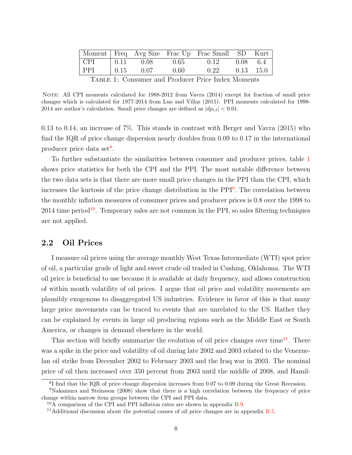<span id="page-8-1"></span>

|                                                    |             |      |          | Moment   Freq Avg Size Frac Up Frac Small SD Kurt |             |            |
|----------------------------------------------------|-------------|------|----------|---------------------------------------------------|-------------|------------|
| $\vert$ CPI                                        | $\mid$ 0.11 | 0.08 | - 0.65 - | 0.12                                              |             | $0.08$ 6.4 |
| $ $ PPI                                            | $\pm 0.15$  | 0.07 | 0.60     | 0.22                                              | $0.13$ 15.0 |            |
| TABLE 1: Consumer and Producer Price Index Moments |             |      |          |                                                   |             |            |

NOTE: All CPI moments calculated for 1988-2012 from Vavra (2014) except for fraction of small price changes which is calculated for 1977-2014 from Luo and Villar (2015). PPI moments calculated for 1998- 2014 are author's calculation. Small price changes are defined as  $|dp_{i,t}| < 0.01$ .

0.13 to 0.14, an increase of 7%. This stands in contrast with Berger and Vavra (2015) who find the IQR of price change dispersion nearly doubles from 0.09 to 0.17 in the international producer price data set<sup>[8](#page-8-0)</sup>.

To further substantiate the similarities between consumer and producer prices, table [1](#page-8-1) shows price statistics for both the CPI and the PPI. The most notable difference between the two data sets is that there are more small price changes in the PPI than the CPI, which increases the kurtosis of the price change distribution in the PPI[9](#page-8-2) . The correlation between the monthly inflation measures of consumer prices and producer prices is 0.8 over the 1998 to  $2014$  time period<sup>[10](#page-8-3)</sup>. Temporary sales are not common in the PPI, so sales filtering techniques are not applied.

### 2.2 Oil Prices

I measure oil prices using the average monthly West Texas Intermediate (WTI) spot price of oil, a particular grade of light and sweet crude oil traded in Cushing, Oklahoma. The WTI oil price is beneficial to use because it is available at daily frequency, and allows construction of within month volatility of oil prices. I argue that oil price and volatility movements are plausibly exogenous to disaggregated US industries. Evidence in favor of this is that many large price movements can be traced to events that are unrelated to the US. Rather they can be explained by events in large oil producing regions such as the Middle East or South America, or changes in demand elsewhere in the world.

This section will briefly summarize the evolution of oil price changes over time<sup>[11](#page-8-4)</sup>. There was a spike in the price and volatility of oil during late 2002 and 2003 related to the Venezuelan oil strike from December 2002 to February 2003 and the Iraq war in 2003. The nominal price of oil then increased over 350 percent from 2003 until the middle of 2008, and Hamil-

<span id="page-8-2"></span><span id="page-8-0"></span><sup>&</sup>lt;sup>8</sup>I find that the IQR of price change dispersion increases from 0.07 to 0.09 during the Great Recession.

<sup>9</sup>Nakamura and Steinsson (2008) show that there is a high correlation between the frequency of price change within narrow item groups between the CPI and PPI data.

<span id="page-8-3"></span> $^{10}$ A comparison of the CPI and PPI inflation rates are shown in appendix [B.9.](#page-51-0)

<span id="page-8-4"></span><sup>11</sup>Additional discussion about the potential causes of oil price changes are in appendix [B.5.](#page-47-0)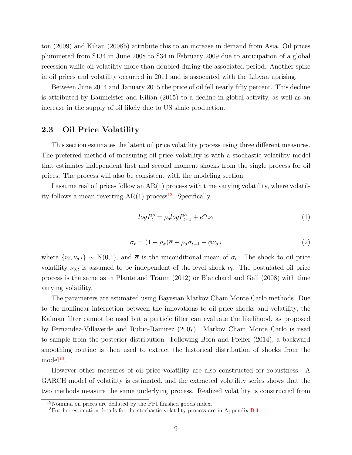ton (2009) and Kilian (2008b) attribute this to an increase in demand from Asia. Oil prices plummeted from \$134 in June 2008 to \$34 in February 2009 due to anticipation of a global recession while oil volatility more than doubled during the associated period. Another spike in oil prices and volatility occurred in 2011 and is associated with the Libyan uprising.

Between June 2014 and January 2015 the price of oil fell nearly fifty percent. This decline is attributed by Baumeister and Kilian (2015) to a decline in global activity, as well as an increase in the supply of oil likely due to US shale production.

### <span id="page-9-2"></span>2.3 Oil Price Volatility

This section estimates the latent oil price volatility process using three different measures. The preferred method of measuring oil price volatility is with a stochastic volatility model that estimates independent first and second moment shocks from the single process for oil prices. The process will also be consistent with the modeling section.

I assume real oil prices follow an AR(1) process with time varying volatility, where volatility follows a mean reverting  $AR(1)$  process<sup>[12](#page-9-0)</sup>. Specifically,

$$
log P_t^o = \rho_o log P_{t-1}^o + e^{\sigma_t} \nu_t \tag{1}
$$

$$
\sigma_t = (1 - \rho_\sigma)\overline{\sigma} + \rho_\sigma \sigma_{t-1} + \phi \nu_{\sigma, t} \tag{2}
$$

where  $\{\nu_t, \nu_{\sigma,t}\} \sim N(0,1)$ , and  $\bar{\sigma}$  is the unconditional mean of  $\sigma_t$ . The shock to oil price volatility  $\nu_{\sigma,t}$  is assumed to be independent of the level shock  $\nu_t$ . The postulated oil price process is the same as in Plante and Traum (2012) or Blanchard and Gali (2008) with time varying volatility.

The parameters are estimated using Bayesian Markov Chain Monte Carlo methods. Due to the nonlinear interaction between the innovations to oil price shocks and volatility, the Kalman filter cannot be used but a particle filter can evaluate the likelihood, as proposed by Fernandez-Villaverde and Rubio-Ramirez (2007). Markov Chain Monte Carlo is used to sample from the posterior distribution. Following Born and Pfeifer (2014), a backward smoothing routine is then used to extract the historical distribution of shocks from the  $\mathrm{model}^{13}$  $\mathrm{model}^{13}$  $\mathrm{model}^{13}$ .

However other measures of oil price volatility are also constructed for robustness. A GARCH model of volatility is estimated, and the extracted volatility series shows that the two methods measure the same underlying process. Realized volatility is constructed from

<span id="page-9-0"></span> $12$ Nominal oil prices are deflated by the PPI finished goods index.

<span id="page-9-1"></span><sup>&</sup>lt;sup>13</sup>Further estimation details for the stochastic volatility process are in Appendix  $B.1$ .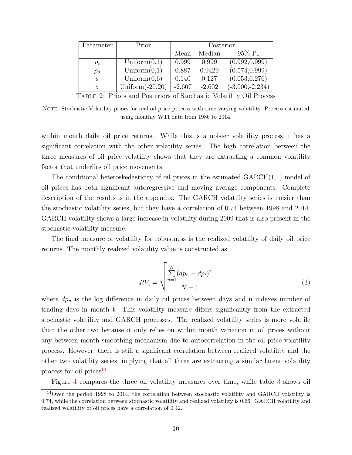<span id="page-10-1"></span>

| Parameter           | Prior              | Posterior |          |                   |  |
|---------------------|--------------------|-----------|----------|-------------------|--|
|                     |                    | Mean      | Median   | 95% PI            |  |
| $\rho_o$            | Uniform $(0,1)$    | 0.999     | 0.999    | (0.992, 0.999)    |  |
| $\rho_{\sigma}$     | Uniform $(0,1)$    | 0.887     | 0.9429   | (0.574, 0.999)    |  |
| $\varphi$           | Uniform $(0,6)$    | 0.140     | 0.127    | (0.053, 0.276)    |  |
| $\overline{\sigma}$ | Uniform $(-20,20)$ | $-2.607$  | $-2.602$ | $(-3.000,-2.234)$ |  |

Table 2: Priors and Posteriors of Stochastic Volatility Oil Process

NOTE: Stochastic Volatility priors for real oil price process with time varying volatility. Process estimated using monthly WTI data from 1986 to 2014.

within month daily oil price returns. While this is a noisier volatility process it has a significant correlation with the other volatility series. The high correlation between the three measures of oil price volatility shows that they are extracting a common volatility factor that underlies oil price movements.

The conditional heteroskedasticity of oil prices in the estimated  $GARCH(1,1)$  model of oil prices has both significant autoregressive and moving average components. Complete description of the results is in the appendix. The GARCH volatility series is noisier than the stochastic volatility series, but they have a correlation of 0.74 between 1998 and 2014. GARCH volatility shows a large increase in volatility during 2009 that is also present in the stochastic volatility measure.

The final measure of volatility for robustness is the realized volatility of daily oil price returns. The monthly realized volatility value is constructed as:

$$
RV_t = \sqrt{\frac{\sum_{n=1}^{N} (dp_n - \overline{dp_t})^2}{N - 1}}
$$
\n(3)

where  $dp_n$  is the log difference in daily oil prices between days and n indexes number of trading days in month t. This volatility measure differs significantly from the extracted stochastic volatility and GARCH processes. The realized volatility series is more volatile than the other two because it only relies on within month variation in oil prices without any between month smoothing mechanism due to autocorrelation in the oil price volatility process. However, there is still a significant correlation between realized volatility and the other two volatility series, implying that all three are extracting a similar latent volatility process for oil prices<sup>[14](#page-10-0)</sup>.

<span id="page-10-0"></span>Figure [4](#page-11-0) compares the three oil volatility measures over time, while table [3](#page-11-1) shows oil

<sup>14</sup>Over the period 1998 to 2014, the correlation between stochastic volatility and GARCH volatility is 0.74, while the correlation between stochastic volatility and realized volatility is 0.66. GARCH volatility and realized volatility of oil prices have a correlation of 0.42.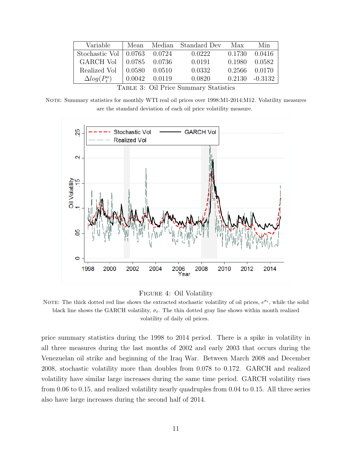<span id="page-11-1"></span>

| Variable                      | Mean   |          | Median Standard Dev | Max    | Min               |
|-------------------------------|--------|----------|---------------------|--------|-------------------|
| Stochastic Vol $\vert$ 0.0763 |        | 0.0724   | 0.0222              | 0.1730 | 0.0416            |
| GARCH Vol                     | 0.0785 | - 0.0736 | 0.0191              | 0.1980 | 0.0582            |
| Realized Vol                  | 0.0580 | 0.0510   | 0.0332              |        | 0.2566 0.0170     |
| $\Delta log(P_t^o)$           | 0.0042 | 0.0119   | 0.0820              |        | $0.2130 - 0.3132$ |

|  | TABLE 3: Oil Price Summary Statistics |  |
|--|---------------------------------------|--|
|  |                                       |  |

NOTE: Summary statistics for monthly WTI real oil prices over  $1998:M1-2014:M12$ . Volatility measures are the standard deviation of each oil price volatility measure.

<span id="page-11-0"></span>

#### Figure 4: Oil Volatility

NOTE: The thick dotted red line shows the extracted stochastic volatility of oil prices,  $e^{\sigma_t}$ , while the solid black line shows the GARCH volatility,  $\sigma_t$ . The thin dotted gray line shows within month realized volatility of daily oil prices.

price summary statistics during the 1998 to 2014 period. There is a spike in volatility in all three measures during the last months of 2002 and early 2003 that occurs during the Venezuelan oil strike and beginning of the Iraq War. Between March 2008 and December 2008, stochastic volatility more than doubles from 0.078 to 0.172. GARCH and realized volatility have similar large increases during the same time period. GARCH volatility rises from 0.06 to 0.15, and realized volatility nearly quadruples from 0.04 to 0.15. All three series also have large increases during the second half of 2014.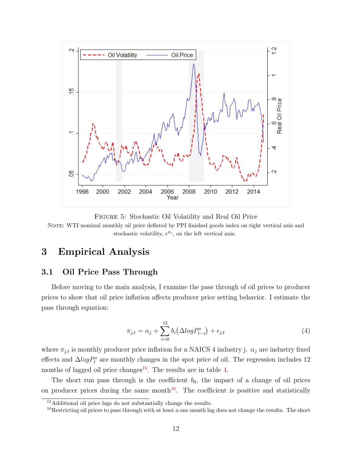

Figure 5: Stochastic Oil Volatility and Real Oil Price

NOTE: WTI nominal monthly oil price deflated by PPI finished goods index on right vertical axis and stochastic volatility,  $e^{\sigma_t}$ , on the left vertical axis.

# 3 Empirical Analysis

# 3.1 Oil Price Pass Through

Before moving to the main analysis, I examine the pass through of oil prices to producer prices to show that oil price inflation affects producer price setting behavior. I estimate the pass through equation:

$$
\pi_{j,t} = \alpha_j + \sum_{i=0}^{12} b_i \left(\Delta log P_{t-i}^o\right) + \epsilon_{j,t} \tag{4}
$$

where  $\pi_{j,t}$  is monthly producer price inflation for a NAICS 4 industry j.  $\alpha_j$  are industry fixed effects and  $\Delta log P_t^o$  are monthly changes in the spot price of oil. The regression includes 12 months of lagged oil price changes<sup>[15](#page-12-0)</sup>. The results are in table  $4$ .

The short run pass through is the coefficient  $b_0$ , the impact of a change of oil prices on producer prices during the same month<sup>[16](#page-12-1)</sup>. The coefficient is positive and statistically

<span id="page-12-0"></span><sup>15</sup>Additional oil price lags do not substantially change the results.

<span id="page-12-1"></span><sup>&</sup>lt;sup>16</sup>Restricting oil prices to pass through with at least a one month lag does not change the results. The short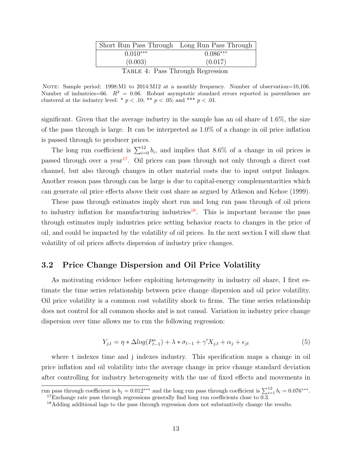| Short Run Pass Through Long Run Pass Through                                                |            |
|---------------------------------------------------------------------------------------------|------------|
| $0.010***$                                                                                  | $0.086***$ |
| (0.003)                                                                                     | (0.017)    |
| $\mathbf{m}_{\text{total}}$ and $\mathbf{m}_{\text{total}}$ and $\mathbf{m}_{\text{total}}$ |            |

TABLE 4: Pass Through Regression

<span id="page-13-0"></span>NOTE: Sample period: 1998:M1 to 2014:M12 at a monthly frequency. Number of observation=10,106. Number of industries=66.  $R^2 = 0.06$ . Robust asymptotic standard errors reported in parentheses are clustered at the industry level: \*  $p < .10$ ; \*\*  $p < .05$ ; and \*\*\*  $p < .01$ .

significant. Given that the average industry in the sample has an oil share of 1.6%, the size of the pass through is large. It can be interpreted as 1.0% of a change in oil price inflation is passed through to producer prices.

The long run coefficient is  $\sum_{i=0}^{12} b_i$ , and implies that 8.6% of a change in oil prices is passed through over a year<sup>[17](#page-13-1)</sup>. Oil prices can pass through not only through a direct cost channel, but also through changes in other material costs due to input output linkages. Another reason pass through can be large is due to capital-energy complementarities which can generate oil price effects above their cost share as argued by Atkeson and Kehoe (1999).

These pass through estimates imply short run and long run pass through of oil prices to industry inflation for manufacturing industries<sup>[18](#page-13-2)</sup>. This is important because the pass through estimates imply industries price setting behavior reacts to changes in the price of oil, and could be impacted by the volatility of oil prices. In the next section I will show that volatility of oil prices affects dispersion of industry price changes.

### 3.2 Price Change Dispersion and Oil Price Volatility

As motivating evidence before exploiting heterogeneity in industry oil share, I first estimate the time series relationship between price change dispersion and oil price volatility. Oil price volatility is a common cost volatility shock to firms. The time series relationship does not control for all common shocks and is not causal. Variation in industry price change dispersion over time allows me to run the following regression:

$$
Y_{j,t} = \eta * \Delta log(P_{t-1}^o) + \lambda * \sigma_{t-1} + \gamma' X_{j,t} + \alpha_j + \epsilon_{jt}
$$
\n
$$
\tag{5}
$$

where t indexes time and j indexes industry. This specification maps a change in oil price inflation and oil volatility into the average change in price change standard deviation after controlling for industry heterogeneity with the use of fixed effects and movements in

run pass through coefficient is  $b_1 = 0.012***$  and the long run pass through coefficient is  $\sum_{i=1}^{12} b_i = 0.076***$ .  $17$ Exchange rate pass through regressions generally find long run coefficients close to 0.3.

<span id="page-13-2"></span><span id="page-13-1"></span><sup>&</sup>lt;sup>18</sup>Adding additional lags to the pass through regression does not substantively change the results.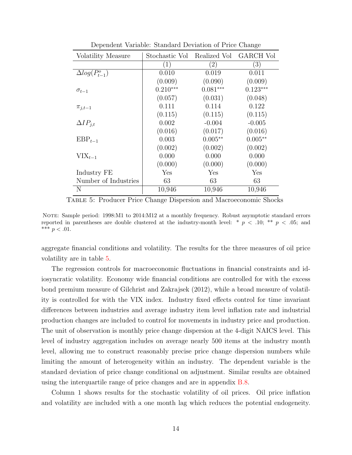<span id="page-14-0"></span>

| Volatility Measure      | Stochastic Vol    | Realized Vol | <b>GARCH Vol</b> |
|-------------------------|-------------------|--------------|------------------|
|                         | $\left( 1\right)$ | (2)          | (3)              |
| $\Delta log(P_{t-1}^o)$ | 0.010             | 0.019        | 0.011            |
|                         | (0.009)           | (0.090)      | (0.009)          |
| $\sigma_{t-1}$          | $0.210***$        | $0.081***$   | $0.123***$       |
|                         | (0.057)           | (0.031)      | (0.048)          |
| $\pi_{j,t-1}$           | 0.111             | 0.114        | 0.122            |
|                         | (0.115)           | (0.115)      | (0.115)          |
| $\Delta IP_{i,t}$       | 0.002             | $-0.004$     | $-0.005$         |
|                         | (0.016)           | (0.017)      | (0.016)          |
| $EBP_{t-1}$             | 0.003             | $0.005**$    | $0.005**$        |
|                         | (0.002)           | (0.002)      | (0.002)          |
| $VIX_{t-1}$             | 0.000             | 0.000        | 0.000            |
|                         | (0.000)           | (0.000)      | (0.000)          |
| Industry FE             | Yes               | Yes          | Yes              |
| Number of Industries    | 63                | 63           | 63               |
| N                       | 10,946            | 10,946       | 10,946           |

Dependent Variable: Standard Deviation of Price Change

Table 5: Producer Price Change Dispersion and Macroeconomic Shocks

NOTE: Sample period: 1998:M1 to 2014:M12 at a monthly frequency. Robust asymptotic standard errors reported in parentheses are double clustered at the industry-month level: \*  $p < .10$ ; \*\*  $p < .05$ ; and \*\*\*  $p < .01$ .

aggregate financial conditions and volatility. The results for the three measures of oil price volatility are in table [5.](#page-14-0)

The regression controls for macroeconomic fluctuations in financial constraints and idiosyncratic volatility. Economy wide financial conditions are controlled for with the excess bond premium measure of Gilchrist and Zakrajsek (2012), while a broad measure of volatility is controlled for with the VIX index. Industry fixed effects control for time invariant differences between industries and average industry item level inflation rate and industrial production changes are included to control for movements in industry price and production. The unit of observation is monthly price change dispersion at the 4-digit NAICS level. This level of industry aggregation includes on average nearly 500 items at the industry month level, allowing me to construct reasonably precise price change dispersion numbers while limiting the amount of heterogeneity within an industry. The dependent variable is the standard deviation of price change conditional on adjustment. Similar results are obtained using the interquartile range of price changes and are in appendix [B.8.](#page-49-0)

Column 1 shows results for the stochastic volatility of oil prices. Oil price inflation and volatility are included with a one month lag which reduces the potential endogeneity.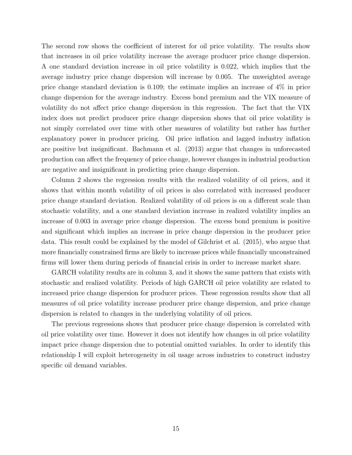The second row shows the coefficient of interest for oil price volatility. The results show that increases in oil price volatility increase the average producer price change dispersion. A one standard deviation increase in oil price volatility is 0.022, which implies that the average industry price change dispersion will increase by 0.005. The unweighted average price change standard deviation is 0.109; the estimate implies an increase of 4% in price change dispersion for the average industry. Excess bond premium and the VIX measure of volatility do not affect price change dispersion in this regression. The fact that the VIX index does not predict producer price change dispersion shows that oil price volatility is not simply correlated over time with other measures of volatility but rather has further explanatory power in producer pricing. Oil price inflation and lagged industry inflation are positive but insignificant. Bachmann et al. (2013) argue that changes in unforecasted production can affect the frequency of price change, however changes in industrial production are negative and insignificant in predicting price change dispersion.

Column 2 shows the regression results with the realized volatility of oil prices, and it shows that within month volatility of oil prices is also correlated with increased producer price change standard deviation. Realized volatility of oil prices is on a different scale than stochastic volatility, and a one standard deviation increase in realized volatility implies an increase of 0.003 in average price change dispersion. The excess bond premium is positive and significant which implies an increase in price change dispersion in the producer price data. This result could be explained by the model of Gilchrist et al. (2015), who argue that more financially constrained firms are likely to increase prices while financially unconstrained firms will lower them during periods of financial crisis in order to increase market share.

GARCH volatility results are in column 3, and it shows the same pattern that exists with stochastic and realized volatility. Periods of high GARCH oil price volatility are related to increased price change dispersion for producer prices. These regression results show that all measures of oil price volatility increase producer price change dispersion, and price change dispersion is related to changes in the underlying volatility of oil prices.

The previous regressions shows that producer price change dispersion is correlated with oil price volatility over time. However it does not identify how changes in oil price volatility impact price change dispersion due to potential omitted variables. In order to identify this relationship I will exploit heterogeneity in oil usage across industries to construct industry specific oil demand variables.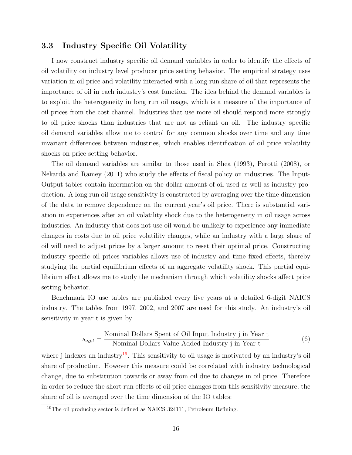## 3.3 Industry Specific Oil Volatility

I now construct industry specific oil demand variables in order to identify the effects of oil volatility on industry level producer price setting behavior. The empirical strategy uses variation in oil price and volatility interacted with a long run share of oil that represents the importance of oil in each industry's cost function. The idea behind the demand variables is to exploit the heterogeneity in long run oil usage, which is a measure of the importance of oil prices from the cost channel. Industries that use more oil should respond more strongly to oil price shocks than industries that are not as reliant on oil. The industry specific oil demand variables allow me to control for any common shocks over time and any time invariant differences between industries, which enables identification of oil price volatility shocks on price setting behavior.

The oil demand variables are similar to those used in Shea (1993), Perotti (2008), or Nekarda and Ramey (2011) who study the effects of fiscal policy on industries. The Input-Output tables contain information on the dollar amount of oil used as well as industry production. A long run oil usage sensitivity is constructed by averaging over the time dimension of the data to remove dependence on the current year's oil price. There is substantial variation in experiences after an oil volatility shock due to the heterogeneity in oil usage across industries. An industry that does not use oil would be unlikely to experience any immediate changes in costs due to oil price volatility changes, while an industry with a large share of oil will need to adjust prices by a larger amount to reset their optimal price. Constructing industry specific oil prices variables allows use of industry and time fixed effects, thereby studying the partial equilibrium effects of an aggregate volatility shock. This partial equilibrium effect allows me to study the mechanism through which volatility shocks affect price setting behavior.

Benchmark IO use tables are published every five years at a detailed 6-digit NAICS industry. The tables from 1997, 2002, and 2007 are used for this study. An industry's oil sensitivity in year t is given by

$$
s_{o,j,t} = \frac{\text{Nominal Dollars Spent of Oil Input Industry j in Year t}}{\text{Nominal Dollars Value added Industry j in Year t}} \tag{6}
$$

where j indexes an industry<sup>[19](#page-16-0)</sup>. This sensitivity to oil usage is motivated by an industry's oil share of production. However this measure could be correlated with industry technological change, due to substitution towards or away from oil due to changes in oil price. Therefore in order to reduce the short run effects of oil price changes from this sensitivity measure, the share of oil is averaged over the time dimension of the IO tables:

<span id="page-16-0"></span> $19$ The oil producing sector is defined as NAICS 324111, Petroleum Refining.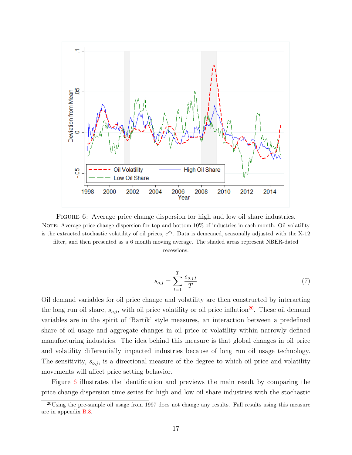<span id="page-17-1"></span>



filter, and then presented as a 6 month moving average. The shaded areas represent NBER-dated recessions.

$$
s_{o,j} = \sum_{t=1}^{T} \frac{s_{o,j,t}}{T}
$$
 (7)

Oil demand variables for oil price change and volatility are then constructed by interacting the long run oil share,  $s_{o,j}$ , with oil price volatility or oil price inflation<sup>[20](#page-17-0)</sup>. These oil demand variables are in the spirit of 'Bartik' style measures, an interaction between a predefined share of oil usage and aggregate changes in oil price or volatility within narrowly defined manufacturing industries. The idea behind this measure is that global changes in oil price and volatility differentially impacted industries because of long run oil usage technology. The sensitivity,  $s_{o,j}$ , is a directional measure of the degree to which oil price and volatility movements will affect price setting behavior.

Figure [6](#page-17-1) illustrates the identification and previews the main result by comparing the price change dispersion time series for high and low oil share industries with the stochastic

<span id="page-17-0"></span> $^{20}$ Using the pre-sample oil usage from 1997 does not change any results. Full results using this measure are in appendix [B.8.](#page-49-0)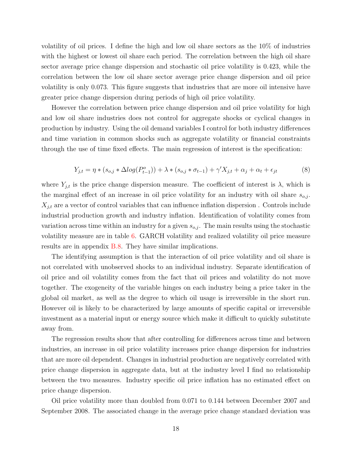volatility of oil prices. I define the high and low oil share sectors as the 10% of industries with the highest or lowest oil share each period. The correlation between the high oil share sector average price change dispersion and stochastic oil price volatility is 0.423, while the correlation between the low oil share sector average price change dispersion and oil price volatility is only 0.073. This figure suggests that industries that are more oil intensive have greater price change dispersion during periods of high oil price volatility.

However the correlation between price change dispersion and oil price volatility for high and low oil share industries does not control for aggregate shocks or cyclical changes in production by industry. Using the oil demand variables I control for both industry differences and time variation in common shocks such as aggregate volatility or financial constraints through the use of time fixed effects. The main regression of interest is the specification:

$$
Y_{j,t} = \eta * (s_{o,j} * \Delta log(P_{t-1}^o)) + \lambda * (s_{o,j} * \sigma_{t-1}) + \gamma' X_{j,t} + \alpha_j + \alpha_t + \epsilon_{jt}
$$
(8)

where  $Y_{j,t}$  is the price change dispersion measure. The coefficient of interest is  $\lambda$ , which is the marginal effect of an increase in oil price volatility for an industry with oil share  $s_{o,j}$ .  $X_{j,t}$  are a vector of control variables that can influence inflation dispersion. Controls include industrial production growth and industry inflation. Identification of volatility comes from variation across time within an industry for a given  $s_{o,j}$ . The main results using the stochastic volatility measure are in table [6.](#page-19-0) GARCH volatility and realized volatility oil price measure results are in appendix [B.8.](#page-49-0) They have similar implications.

The identifying assumption is that the interaction of oil price volatility and oil share is not correlated with unobserved shocks to an individual industry. Separate identification of oil price and oil volatility comes from the fact that oil prices and volatility do not move together. The exogeneity of the variable hinges on each industry being a price taker in the global oil market, as well as the degree to which oil usage is irreversible in the short run. However oil is likely to be characterized by large amounts of specific capital or irreversible investment as a material input or energy source which make it difficult to quickly substitute away from.

The regression results show that after controlling for differences across time and between industries, an increase in oil price volatility increases price change dispersion for industries that are more oil dependent. Changes in industrial production are negatively correlated with price change dispersion in aggregate data, but at the industry level I find no relationship between the two measures. Industry specific oil price inflation has no estimated effect on price change dispersion.

Oil price volatility more than doubled from 0.071 to 0.144 between December 2007 and September 2008. The associated change in the average price change standard deviation was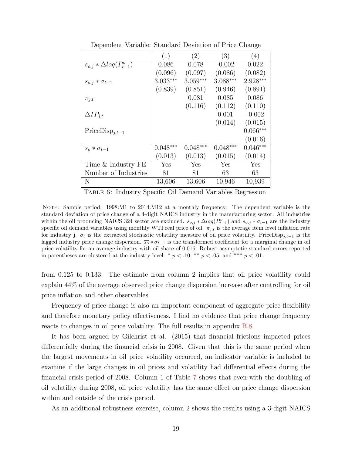<span id="page-19-0"></span>

|                                   | (1)        | (2)        | (3)        | (4)        |
|-----------------------------------|------------|------------|------------|------------|
| $s_{o,j} * \Delta log(P_{t-1}^o)$ | 0.086      | 0.078      | $-0.002$   | 0.022      |
|                                   | (0.096)    | (0.097)    | (0.086)    | (0.082)    |
| $s_{o,j} * \sigma_{t-1}$          | $3.033***$ | $3.059***$ | $3.088***$ | $2.928***$ |
|                                   | (0.839)    | (0.851)    | (0.946)    | (0.891)    |
| $\pi_{j,t}$                       |            | 0.081      | 0.085      | 0.086      |
|                                   |            | (0.116)    | (0.112)    | (0.110)    |
| $\Delta IP_{i,t}$                 |            |            | 0.001      | $-0.002$   |
|                                   |            |            | (0.014)    | (0.015)    |
| $PriceDisp_{i,t-1}$               |            |            |            | $0.066***$ |
|                                   |            |            |            | (0.016)    |
| $\overline{s_o} * \sigma_{t-1}$   | $0.048***$ | $0.048***$ | $0.048***$ | $0.046***$ |
|                                   | (0.013)    | (0.013)    | (0.015)    | (0.014)    |
| Time & Industry FE                | Yes        | Yes        | Yes        | Yes        |
| Number of Industries              | 81         | 81         | 63         | 63         |
| N                                 | 13,606     | 13,606     | 10,946     | 10,939     |

Dependent Variable: Standard Deviation of Price Change

Table 6: Industry Specific Oil Demand Variables Regression

NOTE: Sample period: 1998:M1 to 2014:M12 at a monthly frequency. The dependent variable is the standard deviation of price change of a 4-digit NAICS industry in the manufacturing sector. All industries within the oil producing NAICS 324 sector are excluded.  $s_{o,j} * \Delta log(P_{t-1}^o)$  and  $s_{o,j} * \sigma_{t-1}$  are the industry specific oil demand variables using monthly WTI real price of oil.  $\pi_{i,t}$  is the average item level inflation rate for industry j.  $\sigma_t$  is the extracted stochastic volatility measure of oil price volatility. PriceDisp<sub>it-1</sub> is the lagged industry price change dispersion.  $\overline{s_0} * \sigma_{t-1}$  is the transformed coefficient for a marginal change in oil price volatility for an average industry with oil share of 0.016. Robust asymptotic standard errors reported in parentheses are clustered at the industry level: \*  $p < .10$ ; \*\*  $p < .05$ ; and \*\*\*  $p < .01$ .

from 0.125 to 0.133. The estimate from column 2 implies that oil price volatility could explain 44% of the average observed price change dispersion increase after controlling for oil price inflation and other observables.

Frequency of price change is also an important component of aggregate price flexibility and therefore monetary policy effectiveness. I find no evidence that price change frequency reacts to changes in oil price volatility. The full results in appendix [B.8.](#page-49-0)

It has been argued by Gilchrist et al. (2015) that financial frictions impacted prices differentially during the financial crisis in 2008. Given that this is the same period when the largest movements in oil price volatility occurred, an indicator variable is included to examine if the large changes in oil prices and volatility had differential effects during the financial crisis period of 2008. Column 1 of Table [7](#page-20-0) shows that even with the doubling of oil volatility during 2008, oil price volatility has the same effect on price change dispersion within and outside of the crisis period.

As an additional robustness exercise, column 2 shows the results using a 3-digit NAICS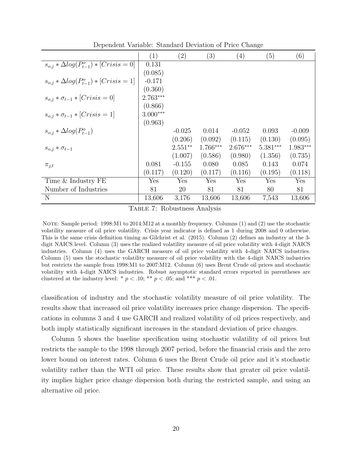<span id="page-20-0"></span>

|                                                    | (1)        | $\left( 2\right)$ | (3)        | $\left( 4\right)$ | (5)        | (6)        |
|----------------------------------------------------|------------|-------------------|------------|-------------------|------------|------------|
| $s_{o,i} * \Delta log(P_{t-1}^{o}) * [Crisis = 0]$ | 0.131      |                   |            |                   |            |            |
|                                                    | (0.085)    |                   |            |                   |            |            |
| $s_{o,i} * \Delta log(P_{t-1}^{o}) * [Crisis = 1]$ | $-0.171$   |                   |            |                   |            |            |
|                                                    | (0.360)    |                   |            |                   |            |            |
| $s_{o,j} * \sigma_{t-1} * [Crisis = 0]$            | $2.763***$ |                   |            |                   |            |            |
|                                                    | (0.866)    |                   |            |                   |            |            |
| $s_{o,j} * \sigma_{t-1} * [Crisis = 1]$            | $3.000***$ |                   |            |                   |            |            |
|                                                    | (0.963)    |                   |            |                   |            |            |
| $s_{o,i} * \Delta log(P_{t-1}^{o})$                |            | $-0.025$          | 0.014      | $-0.052$          | 0.093      | $-0.009$   |
|                                                    |            | (0.206)           | (0.092)    | (0.115)           | (0.130)    | (0.095)    |
| $s_{o,j} * \sigma_{t-1}$                           |            | $2.551**$         | $1.766***$ | $2.676***$        | $5.381***$ | $1.983***$ |
|                                                    |            | (1.007)           | (0.586)    | (0.980)           | (1.356)    | (0.735)    |
| $\pi_{j,t}$                                        | 0.081      | $-0.155$          | 0.080      | 0.085             | 0.143      | 0.074      |
|                                                    | (0.117)    | (0.120)           | (0.117)    | (0.116)           | (0.195)    | (0.118)    |
| Time & Industry FE                                 | Yes        | Yes               | Yes        | Yes               | Yes        | Yes        |
| Number of Industries                               | 81         | 20                | 81         | 81                | 80         | 81         |
| N                                                  | 13,606     | 3,176             | 13,606     | 13,606            | 7,543      | 13,606     |

Dependent Variable: Standard Deviation of Price Change

Table 7: Robustness Analysis

NOTE: Sample period: 1998:M1 to 2014:M12 at a monthly frequency. Columns (1) and (2) use the stochastic volatility measure of oil price volatility. Crisis year indicator is defined as 1 during 2008 and 0 otherwise. This is the same crisis definition timing as Gilchrist et al. (2015). Column (2) defines an industry at the 3 digit NAICS level. Column (3) uses the realized volatility measure of oil price volatility with 4-digit NAICS industries. Column (4) uses the GARCH measure of oil price volatility with 4-digit NAICS industries. Column (5) uses the stochastic volatility measure of oil price volatility with the 4-digit NAICS industries but restricts the sample from 1998:M1 to 2007:M12. Column (6) uses Brent Crude oil prices and stochastic volatility with 4-digit NAICS industries. Robust asymptotic standard errors reported in parentheses are clustered at the industry level: \*  $p < .10$ ; \*\*  $p < .05$ ; and \*\*\*  $p < .01$ .

classification of industry and the stochastic volatility measure of oil price volatility. The results show that increased oil price volatility increases price change dispersion. The specifications in columns 3 and 4 use GARCH and realized volatility of oil prices respectively, and both imply statistically significant increases in the standard deviation of price changes.

Column 5 shows the baseline specification using stochastic volatility of oil prices but restricts the sample to the 1998 through 2007 period, before the financial crisis and the zero lower bound on interest rates. Column 6 uses the Brent Crude oil price and it's stochastic volatility rather than the WTI oil price. These results show that greater oil price volatility implies higher price change dispersion both during the restricted sample, and using an alternative oil price.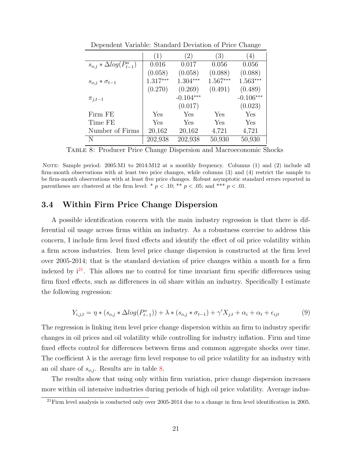<span id="page-21-1"></span>

|                                   | (1)      | (2)         | (3)        | (4)         |
|-----------------------------------|----------|-------------|------------|-------------|
| $s_{o,j} * \Delta log(P_{t-1}^o)$ | 0.016    | 0.017       | 0.056      | 0.056       |
|                                   | (0.058)  | (0.058)     | (0.088)    | (0.088)     |
| $s_{o,j} * \sigma_{t-1}$          | 1.317*** | 1.304***    | $1.567***$ | $1.563***$  |
|                                   | (0.270)  | (0.269)     | (0.491)    | (0.489)     |
| $\pi_{i,t-1}$                     |          | $-0.104***$ |            | $-0.106***$ |
|                                   |          | (0.017)     |            | (0.023)     |
| Firm FE                           | Yes      | Yes         | Yes        | Yes         |
| Time FE                           | Yes      | Yes         | Yes        | Yes         |
| Number of Firms                   | 20,162   | 20,162      | 4,721      | 4,721       |
| N                                 | 202,938  | 202,938     | 50,930     | 50,930      |

Dependent Variable: Standard Deviation of Price Change

Table 8: Producer Price Change Dispersion and Macroeconomic Shocks

NOTE: Sample period:  $2005:M1$  to  $2014:M12$  at a monthly frequency. Columns (1) and (2) include all firm-month observations with at least two price changes, while columns (3) and (4) restrict the sample to be firm-month observations with at least five price changes. Robust asymptotic standard errors reported in parentheses are clustered at the firm level: \*  $p < .10$ ; \*\*  $p < .05$ ; and \*\*\*  $p < .01$ .

## 3.4 Within Firm Price Change Dispersion

A possible identification concern with the main industry regression is that there is differential oil usage across firms within an industry. As a robustness exercise to address this concern, I include firm level fixed effects and identify the effect of oil price volatility within a firm across industries. Item level price change dispersion is constructed at the firm level over 2005-2014; that is the standard deviation of price changes within a month for a firm indexed by  $i^{21}$  $i^{21}$  $i^{21}$ . This allows me to control for time invariant firm specific differences using firm fixed effects, such as differences in oil share within an industry. Specifically I estimate the following regression:

$$
Y_{i,j,t} = \eta * (s_{o,j} * \Delta log(P_{t-1}^o)) + \lambda * (s_{o,j} * \sigma_{t-1}) + \gamma' X_{j,t} + \alpha_i + \alpha_t + \epsilon_{ijt}
$$
(9)

The regression is linking item level price change dispersion within an firm to industry specific changes in oil prices and oil volatility while controlling for industry inflation. Firm and time fixed effects control for differences between firms and common aggregate shocks over time. The coefficient  $\lambda$  is the average firm level response to oil price volatility for an industry with an oil share of  $s_{o,j}$ . Results are in table [8.](#page-21-1)

The results show that using only within firm variation, price change dispersion increases more within oil intensive industries during periods of high oil price volatility. Average indus-

<span id="page-21-0"></span> $21$ Firm level analysis is conducted only over 2005-2014 due to a change in firm level identification in 2005.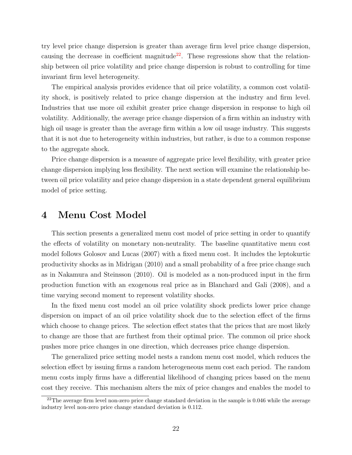try level price change dispersion is greater than average firm level price change dispersion, causing the decrease in coefficient magnitude<sup>[22](#page-22-0)</sup>. These regressions show that the relationship between oil price volatility and price change dispersion is robust to controlling for time invariant firm level heterogeneity.

The empirical analysis provides evidence that oil price volatility, a common cost volatility shock, is positively related to price change dispersion at the industry and firm level. Industries that use more oil exhibit greater price change dispersion in response to high oil volatility. Additionally, the average price change dispersion of a firm within an industry with high oil usage is greater than the average firm within a low oil usage industry. This suggests that it is not due to heterogeneity within industries, but rather, is due to a common response to the aggregate shock.

Price change dispersion is a measure of aggregate price level flexibility, with greater price change dispersion implying less flexibility. The next section will examine the relationship between oil price volatility and price change dispersion in a state dependent general equilibrium model of price setting.

# 4 Menu Cost Model

This section presents a generalized menu cost model of price setting in order to quantify the effects of volatility on monetary non-neutrality. The baseline quantitative menu cost model follows Golosov and Lucas (2007) with a fixed menu cost. It includes the leptokurtic productivity shocks as in Midrigan (2010) and a small probability of a free price change such as in Nakamura and Steinsson (2010). Oil is modeled as a non-produced input in the firm production function with an exogenous real price as in Blanchard and Gali (2008), and a time varying second moment to represent volatility shocks.

In the fixed menu cost model an oil price volatility shock predicts lower price change dispersion on impact of an oil price volatility shock due to the selection effect of the firms which choose to change prices. The selection effect states that the prices that are most likely to change are those that are furthest from their optimal price. The common oil price shock pushes more price changes in one direction, which decreases price change dispersion.

The generalized price setting model nests a random menu cost model, which reduces the selection effect by issuing firms a random heterogeneous menu cost each period. The random menu costs imply firms have a differential likelihood of changing prices based on the menu cost they receive. This mechanism alters the mix of price changes and enables the model to

<span id="page-22-0"></span> $^{22}$ The average firm level non-zero price change standard deviation in the sample is 0.046 while the average industry level non-zero price change standard deviation is 0.112.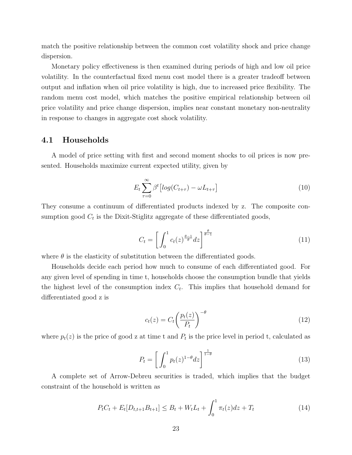match the positive relationship between the common cost volatility shock and price change dispersion.

Monetary policy effectiveness is then examined during periods of high and low oil price volatility. In the counterfactual fixed menu cost model there is a greater tradeoff between output and inflation when oil price volatility is high, due to increased price flexibility. The random menu cost model, which matches the positive empirical relationship between oil price volatility and price change dispersion, implies near constant monetary non-neutrality in response to changes in aggregate cost shock volatility.

# 4.1 Households

A model of price setting with first and second moment shocks to oil prices is now presented. Households maximize current expected utility, given by

$$
E_t \sum_{\tau=0}^{\infty} \beta^t \left[ \log(C_{t+\tau}) - \omega L_{t+\tau} \right] \tag{10}
$$

They consume a continuum of differentiated products indexed by z. The composite consumption good  $C_t$  is the Dixit-Stiglitz aggregate of these differentiated goods,

$$
C_t = \left[ \int_0^1 c_t(z)^{\frac{\theta - 1}{\theta}} dz \right]^{\frac{\theta}{\theta - 1}} \tag{11}
$$

where  $\theta$  is the elasticity of substitution between the differentiated goods.

Households decide each period how much to consume of each differentiated good. For any given level of spending in time t, households choose the consumption bundle that yields the highest level of the consumption index  $C_t$ . This implies that household demand for differentiated good z is

$$
c_t(z) = C_t \left(\frac{p_t(z)}{P_t}\right)^{-\theta} \tag{12}
$$

where  $p_t(z)$  is the price of good z at time t and  $P_t$  is the price level in period t, calculated as

$$
P_t = \left[ \int_0^1 p_t(z)^{1-\theta} dz \right]^{\frac{1}{1-\theta}} \tag{13}
$$

A complete set of Arrow-Debreu securities is traded, which implies that the budget constraint of the household is written as

$$
P_t C_t + E_t[D_{t,t+1}B_{t+1}] \leq B_t + W_t L_t + \int_0^1 \pi_t(z)dz + T_t
$$
\n(14)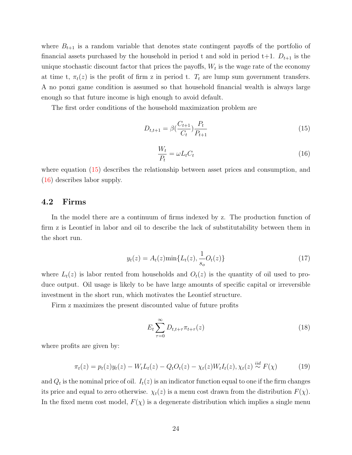where  $B_{t+1}$  is a random variable that denotes state contingent payoffs of the portfolio of financial assets purchased by the household in period t and sold in period  $t+1$ .  $D_{t+1}$  is the unique stochastic discount factor that prices the payoffs,  $W_t$  is the wage rate of the economy at time t,  $\pi_t(z)$  is the profit of firm z in period t.  $T_t$  are lump sum government transfers. A no ponzi game condition is assumed so that household financial wealth is always large enough so that future income is high enough to avoid default.

The first order conditions of the household maximization problem are

<span id="page-24-0"></span>
$$
D_{t,t+1} = \beta \left(\frac{C_{t+1}}{C_t}\right) \frac{P_t}{P_{t+1}}
$$
\n(15)

<span id="page-24-1"></span>
$$
\frac{W_t}{P_t} = \omega L_t C_t \tag{16}
$$

where equation [\(15\)](#page-24-0) describes the relationship between asset prices and consumption, and [\(16\)](#page-24-1) describes labor supply.

### 4.2 Firms

In the model there are a continuum of firms indexed by z. The production function of firm z is Leontief in labor and oil to describe the lack of substitutability between them in the short run.

<span id="page-24-3"></span>
$$
y_t(z) = A_t(z) \min\{L_t(z), \frac{1}{s_o}O_t(z)\}\tag{17}
$$

where  $L_t(z)$  is labor rented from households and  $O_t(z)$  is the quantity of oil used to produce output. Oil usage is likely to be have large amounts of specific capital or irreversible investment in the short run, which motivates the Leontief structure.

Firm z maximizes the present discounted value of future profits

$$
E_t \sum_{\tau=0}^{\infty} D_{t,t+\tau} \pi_{t+\tau}(z) \tag{18}
$$

where profits are given by:

<span id="page-24-2"></span>
$$
\pi_t(z) = p_t(z)y_t(z) - W_t L_t(z) - Q_t O_t(z) - \chi_t(z)W_t I_t(z), \chi_t(z) \stackrel{iid}{\sim} F(\chi)
$$
\n
$$
(19)
$$

and  $Q_t$  is the nominal price of oil.  $I_t(z)$  is an indicator function equal to one if the firm changes its price and equal to zero otherwise.  $\chi_t(z)$  is a menu cost drawn from the distribution  $F(\chi)$ . In the fixed menu cost model,  $F(\chi)$  is a degenerate distribution which implies a single menu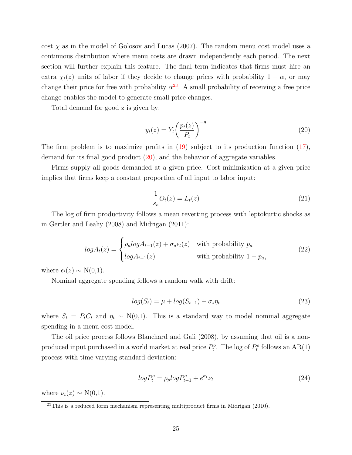cost  $\chi$  as in the model of Golosov and Lucas (2007). The random menu cost model uses a continuous distribution where menu costs are drawn independently each period. The next section will further explain this feature. The final term indicates that firms must hire an extra  $\chi_t(z)$  units of labor if they decide to change prices with probability  $1 - \alpha$ , or may change their price for free with probability  $\alpha^{23}$  $\alpha^{23}$  $\alpha^{23}$ . A small probability of receiving a free price change enables the model to generate small price changes.

Total demand for good z is given by:

<span id="page-25-1"></span>
$$
y_t(z) = Y_t \left(\frac{p_t(z)}{P_t}\right)^{-\theta} \tag{20}
$$

The firm problem is to maximize profits in  $(19)$  subject to its production function  $(17)$ , demand for its final good product [\(20\)](#page-25-1), and the behavior of aggregate variables.

Firms supply all goods demanded at a given price. Cost minimization at a given price implies that firms keep a constant proportion of oil input to labor input:

<span id="page-25-2"></span>
$$
\frac{1}{s_o}O_t(z) = L_t(z)
$$
\n(21)

The log of firm productivity follows a mean reverting process with leptokurtic shocks as in Gertler and Leahy (2008) and Midrigan (2011):

$$
logA_t(z) = \begin{cases} \rho_a log A_{t-1}(z) + \sigma_a \epsilon_t(z) & \text{with probability } p_a \\ log A_{t-1}(z) & \text{with probability } 1 - p_a, \end{cases}
$$
(22)

where  $\epsilon_t(z) \sim \text{N}(0,1)$ .

Nominal aggregate spending follows a random walk with drift:

$$
log(S_t) = \mu + log(S_{t-1}) + \sigma_s \eta_t \tag{23}
$$

where  $S_t = P_t C_t$  and  $\eta_t \sim N(0,1)$ . This is a standard way to model nominal aggregate spending in a menu cost model.

The oil price process follows Blanchard and Gali (2008), by assuming that oil is a nonproduced input purchased in a world market at real price  $P_t^o$ . The log of  $P_t^o$  follows an AR(1) process with time varying standard deviation:

$$
log P_t^o = \rho_p log P_{t-1}^o + e^{\sigma_t} \nu_t \tag{24}
$$

where  $\nu_t(z) \sim N(0,1)$ .

<span id="page-25-0"></span> $^{23}$ This is a reduced form mechanism representing multiproduct firms in Midrigan (2010).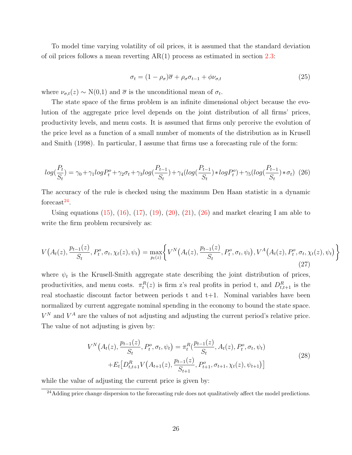To model time varying volatility of oil prices, it is assumed that the standard deviation of oil prices follows a mean reverting  $AR(1)$  process as estimated in section [2.3:](#page-9-2)

$$
\sigma_t = (1 - \rho_\sigma)\overline{\sigma} + \rho_\sigma \sigma_{t-1} + \phi \nu_{\sigma, t} \tag{25}
$$

where  $\nu_{\sigma,t}(z) \sim N(0,1)$  and  $\overline{\sigma}$  is the unconditional mean of  $\sigma_t$ .

The state space of the firms problem is an infinite dimensional object because the evolution of the aggregate price level depends on the joint distribution of all firms' prices, productivity levels, and menu costs. It is assumed that firms only perceive the evolution of the price level as a function of a small number of moments of the distribution as in Krusell and Smith (1998). In particular, I assume that firms use a forecasting rule of the form:

<span id="page-26-1"></span>
$$
log(\frac{P_t}{S_t}) = \gamma_0 + \gamma_1 log P_t^o + \gamma_2 \sigma_t + \gamma_3 log(\frac{P_{t-1}}{S_t}) + \gamma_4 (log(\frac{P_{t-1}}{S_t}) * log P_t^o) + \gamma_5 (log(\frac{P_{t-1}}{S_t}) * \sigma_t) (26)
$$

The accuracy of the rule is checked using the maximum Den Haan statistic in a dynamic forecast $^{24}$  $^{24}$  $^{24}$ .

Using equations  $(15)$ ,  $(16)$ ,  $(17)$ ,  $(19)$ ,  $(20)$ ,  $(21)$ ,  $(26)$  and market clearing I am able to write the firm problem recursively as:

<span id="page-26-2"></span>
$$
V(A_t(z), \frac{p_{t-1}(z)}{S_t}, P_t^o, \sigma_t, \chi_t(z), \psi_t) = \max_{p_t(z)} \left\{ V^N(A_t(z), \frac{p_{t-1}(z)}{S_t}, P_t^o, \sigma_t, \psi_t), V^A(A_t(z), P_t^o, \sigma_t, \chi_t(z), \psi_t) \right\}
$$
(27)

where  $\psi_t$  is the Krusell-Smith aggregate state describing the joint distribution of prices, productivities, and menu costs.  $\pi_t^R(z)$  is firm z's real profits in period t, and  $D_{t,t+1}^R$  is the real stochastic discount factor between periods t and  $t+1$ . Nominal variables have been normalized by current aggregate nominal spending in the economy to bound the state space.  $V^N$  and  $V^A$  are the values of not adjusting and adjusting the current period's relative price. The value of not adjusting is given by:

$$
V^{N}(A_{t}(z), \frac{p_{t-1}(z)}{S_{t}}, P_{t}^{o}, \sigma_{t}, \psi_{t}) = \pi_{t}^{R}(\frac{p_{t-1}(z)}{S_{t}}, A_{t}(z), P_{t}^{o}, \sigma_{t}, \psi_{t}) + E_{t}[D_{t,t+1}^{R}V(A_{t+1}(z), \frac{p_{t-1}(z)}{S_{t+1}}, P_{t+1}^{o}, \sigma_{t+1}, \chi_{t}(z), \psi_{t+1})]
$$
\n(28)

while the value of adjusting the current price is given by:

<span id="page-26-0"></span> $^{24}$ Adding price change dispersion to the forecasting rule does not qualitatively affect the model predictions.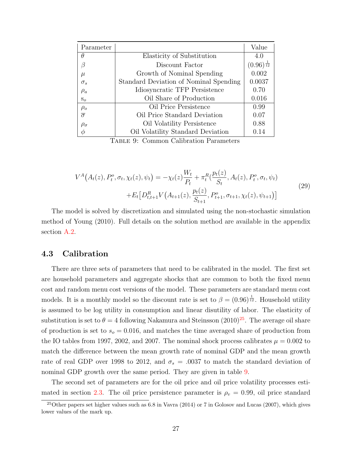<span id="page-27-1"></span>

| Parameter           |                                        | Value                   |
|---------------------|----------------------------------------|-------------------------|
| $\theta$            | Elasticity of Substitution             | 4.0                     |
|                     | Discount Factor                        | $(0.96)^{\frac{1}{12}}$ |
| $\mu$               | Growth of Nominal Spending             | 0.002                   |
| $\sigma_s$          | Standard Deviation of Nominal Spending | 0.0037                  |
| $\rho_a$            | Idiosyncratic TFP Persistence          | 0.70                    |
| $S_{\mathcal{O}}$   | Oil Share of Production                | 0.016                   |
| $\rho_o$            | Oil Price Persistence                  | 0.99                    |
| $\overline{\sigma}$ | Oil Price Standard Deviation           | 0.07                    |
| $\rho_{\sigma}$     | Oil Volatility Persistence             | 0.88                    |
|                     | Oil Volatility Standard Deviation      | 0.14                    |

Table 9: Common Calibration Parameters

$$
V^{A}(A_{t}(z), P_{t}^{o}, \sigma_{t}, \chi_{t}(z), \psi_{t}) = -\chi_{t}(z) \frac{W_{t}}{P_{t}} + \pi_{t}^{R}(\frac{p_{t}(z)}{S_{t}}, A_{t}(z), P_{t}^{o}, \sigma_{t}, \psi_{t}) + E_{t} \left[ D_{t,t+1}^{R} V(A_{t+1}(z), \frac{p_{t}(z)}{S_{t+1}}, P_{t+1}^{o}, \sigma_{t+1}, \chi_{t}(z), \psi_{t+1}) \right]
$$
(29)

The model is solved by discretization and simulated using the non-stochastic simulation method of Young (2010). Full details on the solution method are available in the appendix section [A.2.](#page-41-0)

# 4.3 Calibration

There are three sets of parameters that need to be calibrated in the model. The first set are household parameters and aggregate shocks that are common to both the fixed menu cost and random menu cost versions of the model. These parameters are standard menu cost models. It is a monthly model so the discount rate is set to  $\beta = (0.96)^{\frac{1}{12}}$ . Household utility is assumed to be log utility in consumption and linear disutility of labor. The elasticity of substitution is set to  $\theta = 4$  following Nakamura and Steinsson  $(2010)^{25}$  $(2010)^{25}$  $(2010)^{25}$ . The average oil share of production is set to  $s_o = 0.016$ , and matches the time averaged share of production from the IO tables from 1997, 2002, and 2007. The nominal shock process calibrates  $\mu = 0.002$  to match the difference between the mean growth rate of nominal GDP and the mean growth rate of real GDP over 1998 to 2012, and  $\sigma_s = 0.0037$  to match the standard deviation of nominal GDP growth over the same period. They are given in table [9.](#page-27-1)

The second set of parameters are for the oil price and oil price volatility processes esti-mated in section [2.3.](#page-9-2) The oil price persistence parameter is  $\rho_v = 0.99$ , oil price standard

<span id="page-27-0"></span> $^{25}$ Other papers set higher values such as 6.8 in Vavra (2014) or 7 in Golosov and Lucas (2007), which gives lower values of the mark up.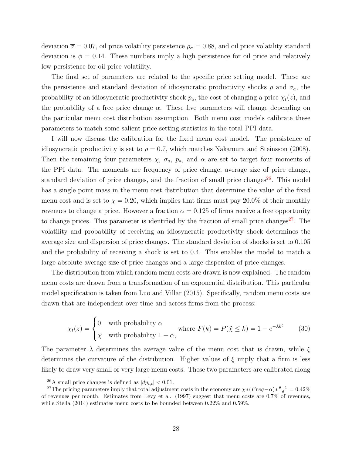deviation  $\bar{\sigma} = 0.07$ , oil price volatility persistence  $\rho_{\sigma} = 0.88$ , and oil price volatility standard deviation is  $\phi = 0.14$ . These numbers imply a high persistence for oil price and relatively low persistence for oil price volatility.

The final set of parameters are related to the specific price setting model. These are the persistence and standard deviation of idiosyncratic productivity shocks  $\rho$  and  $\sigma_a$ , the probability of an idiosyncratic productivity shock  $p_a$ , the cost of changing a price  $\chi_t(z)$ , and the probability of a free price change  $\alpha$ . These five parameters will change depending on the particular menu cost distribution assumption. Both menu cost models calibrate these parameters to match some salient price setting statistics in the total PPI data.

I will now discuss the calibration for the fixed menu cost model. The persistence of idiosyncratic productivity is set to  $\rho = 0.7$ , which matches Nakamura and Steinsson (2008). Then the remaining four parameters  $\chi$ ,  $\sigma_a$ ,  $p_a$ , and  $\alpha$  are set to target four moments of the PPI data. The moments are frequency of price change, average size of price change, standard deviation of price changes, and the fraction of small price changes<sup>[26](#page-28-0)</sup>. This model has a single point mass in the menu cost distribution that determine the value of the fixed menu cost and is set to  $\chi = 0.20$ , which implies that firms must pay 20.0% of their monthly revenues to change a price. However a fraction  $\alpha = 0.125$  of firms receive a free opportunity to change prices. This parameter is identified by the fraction of small price changes<sup>[27](#page-28-1)</sup>. The volatility and probability of receiving an idiosyncratic productivity shock determines the average size and dispersion of price changes. The standard deviation of shocks is set to 0.105 and the probability of receiving a shock is set to 0.4. This enables the model to match a large absolute average size of price changes and a large dispersion of price changes.

The distribution from which random menu costs are drawn is now explained. The random menu costs are drawn from a transformation of an exponential distribution. This particular model specification is taken from Luo and Villar (2015). Specifically, random menu costs are drawn that are independent over time and across firms from the process:

$$
\chi_t(z) = \begin{cases} 0 & \text{with probability } \alpha \\ \tilde{\chi} & \text{with probability } 1 - \alpha, \end{cases} \quad \text{where } F(k) = P(\tilde{\chi} \le k) = 1 - e^{-\lambda k^{\xi}} \tag{30}
$$

The parameter  $\lambda$  determines the average value of the menu cost that is drawn, while  $\xi$ determines the curvature of the distribution. Higher values of  $\xi$  imply that a firm is less likely to draw very small or very large menu costs. These two parameters are calibrated along

<span id="page-28-1"></span><span id="page-28-0"></span><sup>&</sup>lt;sup>26</sup>A small price changes is defined as  $|dp_{i,t}| < 0.01$ .

<sup>&</sup>lt;sup>27</sup>The pricing parameters imply that total adjustment costs in the economy are  $\chi * (Freq - \alpha) * \frac{\theta - 1}{\theta} = 0.42\%$ of revenues per month. Estimates from Levy et al. (1997) suggest that menu costs are 0.7% of revenues, while Stella (2014) estimates menu costs to be bounded between 0.22% and 0.59%.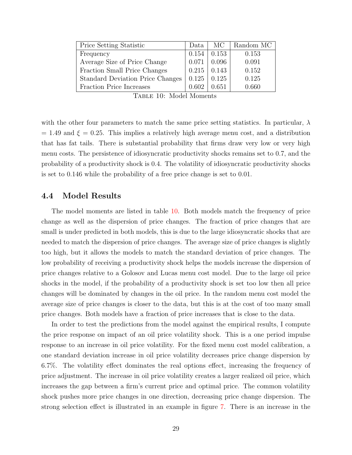<span id="page-29-0"></span>

| Price Setting Statistic                 | Data  | МC    | Random MC |
|-----------------------------------------|-------|-------|-----------|
| Frequency                               | 0.154 | 0.153 | 0.153     |
| Average Size of Price Change            | 0.071 | 0.096 | 0.091     |
| Fraction Small Price Changes            | 0.215 | 0.143 | 0.152     |
| <b>Standard Deviation Price Changes</b> | 0.125 | 0.125 | 0.125     |
| Fraction Price Increases                |       | 0.651 | 0.660     |

|  | TABLE 10: Model Moments |
|--|-------------------------|

with the other four parameters to match the same price setting statistics. In particular,  $\lambda$  $= 1.49$  and  $\xi = 0.25$ . This implies a relatively high average menu cost, and a distribution that has fat tails. There is substantial probability that firms draw very low or very high menu costs. The persistence of idiosyncratic productivity shocks remains set to 0.7, and the probability of a productivity shock is 0.4. The volatility of idiosyncratic productivity shocks is set to 0.146 while the probability of a free price change is set to 0.01.

### 4.4 Model Results

The model moments are listed in table [10.](#page-29-0) Both models match the frequency of price change as well as the dispersion of price changes. The fraction of price changes that are small is under predicted in both models, this is due to the large idiosyncratic shocks that are needed to match the dispersion of price changes. The average size of price changes is slightly too high, but it allows the models to match the standard deviation of price changes. The low probability of receiving a productivity shock helps the models increase the dispersion of price changes relative to a Golosov and Lucas menu cost model. Due to the large oil price shocks in the model, if the probability of a productivity shock is set too low then all price changes will be dominated by changes in the oil price. In the random menu cost model the average size of price changes is closer to the data, but this is at the cost of too many small price changes. Both models have a fraction of price increases that is close to the data.

In order to test the predictions from the model against the empirical results, I compute the price response on impact of an oil price volatility shock. This is a one period impulse response to an increase in oil price volatility. For the fixed menu cost model calibration, a one standard deviation increase in oil price volatility decreases price change dispersion by 6.7%. The volatility effect dominates the real options effect, increasing the frequency of price adjustment. The increase in oil price volatility creates a larger realized oil price, which increases the gap between a firm's current price and optimal price. The common volatility shock pushes more price changes in one direction, decreasing price change dispersion. The strong selection effect is illustrated in an example in figure [7.](#page-30-0) There is an increase in the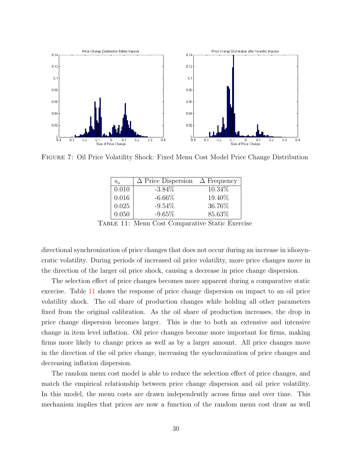<span id="page-30-0"></span>

<span id="page-30-1"></span>Figure 7: Oil Price Volatility Shock: Fixed Menu Cost Model Price Change Distribution

| $S_{\Omega}$ | $\Delta$ Price Dispersion | $\Delta$ Frequency |
|--------------|---------------------------|--------------------|
| 0.010        | $-3.84\%$                 | 10.34\%            |
| 0.016        | $-6.66\%$                 | 19.40\%            |
| 0.025        | $-9.54\%$                 | 36.76%             |
| 0.050        | $-9.65%$                  | 85.63%             |

Table 11: Menu Cost Comparative Static Exercise

directional synchronization of price changes that does not occur during an increase in idiosyncratic volatility. During periods of increased oil price volatility, more price changes move in the direction of the larger oil price shock, causing a decrease in price change dispersion.

The selection effect of price changes becomes more apparent during a comparative static exercise. Table [11](#page-30-1) shows the response of price change dispersion on impact to an oil price volatility shock. The oil share of production changes while holding all other parameters fixed from the original calibration. As the oil share of production increases, the drop in price change dispersion becomes larger. This is due to both an extensive and intensive change in item level inflation. Oil price changes become more important for firms, making firms more likely to change prices as well as by a larger amount. All price changes move in the direction of the oil price change, increasing the synchronization of price changes and decreasing inflation dispersion.

The random menu cost model is able to reduce the selection effect of price changes, and match the empirical relationship between price change dispersion and oil price volatility. In this model, the menu costs are drawn independently across firms and over time. This mechanism implies that prices are now a function of the random menu cost draw as well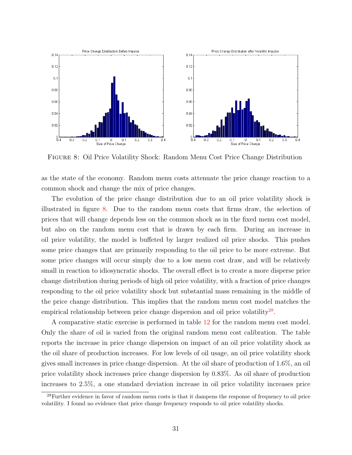<span id="page-31-0"></span>

Figure 8: Oil Price Volatility Shock: Random Menu Cost Price Change Distribution

as the state of the economy. Random menu costs attenuate the price change reaction to a common shock and change the mix of price changes.

The evolution of the price change distribution due to an oil price volatility shock is illustrated in figure [8.](#page-31-0) Due to the random menu costs that firms draw, the selection of prices that will change depends less on the common shock as in the fixed menu cost model, but also on the random menu cost that is drawn by each firm. During an increase in oil price volatility, the model is buffeted by larger realized oil price shocks. This pushes some price changes that are primarily responding to the oil price to be more extreme. But some price changes will occur simply due to a low menu cost draw, and will be relatively small in reaction to idiosyncratic shocks. The overall effect is to create a more disperse price change distribution during periods of high oil price volatility, with a fraction of price changes responding to the oil price volatility shock but substantial mass remaining in the middle of the price change distribution. This implies that the random menu cost model matches the empirical relationship between price change dispersion and oil price volatility<sup>[28](#page-31-1)</sup>.

A comparative static exercise is performed in table [12](#page-32-0) for the random menu cost model. Only the share of oil is varied from the original random menu cost calibration. The table reports the increase in price change dispersion on impact of an oil price volatility shock as the oil share of production increases. For low levels of oil usage, an oil price volatility shock gives small increases in price change dispersion. At the oil share of production of 1.6%, an oil price volatility shock increases price change dispersion by 0.83%. As oil share of production increases to 2.5%, a one standard deviation increase in oil price volatility increases price

<span id="page-31-1"></span><sup>&</sup>lt;sup>28</sup>Further evidence in favor of random menu costs is that it dampens the response of frequency to oil price volatility. I found no evidence that price change frequency responds to oil price volatility shocks.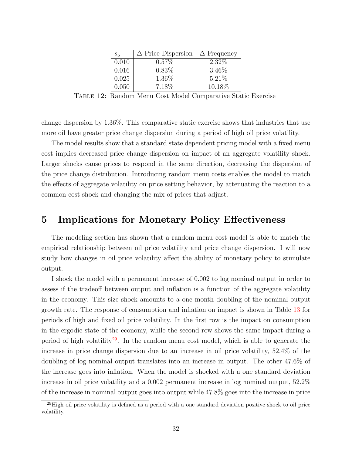| $S_{\Omega}$ | $\Delta$ Price Dispersion $\Delta$ Frequency |          |
|--------------|----------------------------------------------|----------|
| 0.010        | $0.57\%$                                     | 2.32\%   |
| 0.016        | $0.83\%$                                     | 3.46%    |
| 0.025        | 1.36%                                        | $5.21\%$ |
| 0.050        | 7.18%                                        | 10.18%   |

<span id="page-32-0"></span>Table 12: Random Menu Cost Model Comparative Static Exercise

change dispersion by 1.36%. This comparative static exercise shows that industries that use more oil have greater price change dispersion during a period of high oil price volatility.

The model results show that a standard state dependent pricing model with a fixed menu cost implies decreased price change dispersion on impact of an aggregate volatility shock. Larger shocks cause prices to respond in the same direction, decreasing the dispersion of the price change distribution. Introducing random menu costs enables the model to match the effects of aggregate volatility on price setting behavior, by attenuating the reaction to a common cost shock and changing the mix of prices that adjust.

# 5 Implications for Monetary Policy Effectiveness

The modeling section has shown that a random menu cost model is able to match the empirical relationship between oil price volatility and price change dispersion. I will now study how changes in oil price volatility affect the ability of monetary policy to stimulate output.

I shock the model with a permanent increase of 0.002 to log nominal output in order to assess if the tradeoff between output and inflation is a function of the aggregate volatility in the economy. This size shock amounts to a one month doubling of the nominal output growth rate. The response of consumption and inflation on impact is shown in Table [13](#page-33-0) for periods of high and fixed oil price volatility. In the first row is the impact on consumption in the ergodic state of the economy, while the second row shows the same impact during a period of high volatility<sup>[29](#page-32-1)</sup>. In the random menu cost model, which is able to generate the increase in price change dispersion due to an increase in oil price volatility, 52.4% of the doubling of log nominal output translates into an increase in output. The other 47.6% of the increase goes into inflation. When the model is shocked with a one standard deviation increase in oil price volatility and a 0.002 permanent increase in log nominal output, 52.2% of the increase in nominal output goes into output while 47.8% goes into the increase in price

<span id="page-32-1"></span> $^{29}$ High oil price volatility is defined as a period with a one standard deviation positive shock to oil price volatility.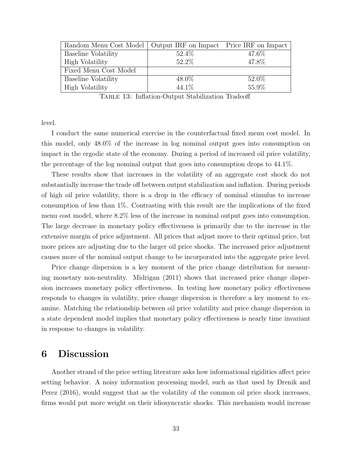<span id="page-33-0"></span>

| Random Menu Cost Model   Output IRF on Impact Price IRF on Impact |        |          |
|-------------------------------------------------------------------|--------|----------|
| Baseline Volatility                                               | 52.4\% | 47.6%    |
| High Volatility                                                   | 52.2%  | 47.8%    |
| Fixed Menu Cost Model                                             |        |          |
| Baseline Volatility                                               | 48.0%  | $52.0\%$ |
| High Volatility                                                   | 44.1\% | 55.9%    |

Table 13: Inflation-Output Stabilization Tradeoff

level.

I conduct the same numerical exercise in the counterfactual fixed menu cost model. In this model, only 48.0% of the increase in log nominal output goes into consumption on impact in the ergodic state of the economy. During a period of increased oil price volatility, the percentage of the log nominal output that goes into consumption drops to 44.1%.

These results show that increases in the volatility of an aggregate cost shock do not substantially increase the trade off between output stabilization and inflation. During periods of high oil price volatility, there is a drop in the efficacy of nominal stimulus to increase consumption of less than 1%. Contrasting with this result are the implications of the fixed menu cost model, where 8.2% less of the increase in nominal output goes into consumption. The large decrease in monetary policy effectiveness is primarily due to the increase in the extensive margin of price adjustment. All prices that adjust move to their optimal price, but more prices are adjusting due to the larger oil price shocks. The increased price adjustment causes more of the nominal output change to be incorporated into the aggregate price level.

Price change dispersion is a key moment of the price change distribution for measuring monetary non-neutrality. Midrigan (2011) shows that increased price change dispersion increases monetary policy effectiveness. In testing how monetary policy effectiveness responds to changes in volatility, price change dispersion is therefore a key moment to examine. Matching the relationship between oil price volatility and price change dispersion in a state dependent model implies that monetary policy effectiveness is nearly time invariant in response to changes in volatility.

# 6 Discussion

Another strand of the price setting literature asks how informational rigidities affect price setting behavior. A noisy information processing model, such as that used by Drenik and Perez (2016), would suggest that as the volatility of the common oil price shock increases, firms would put more weight on their idiosyncratic shocks. This mechanism would increase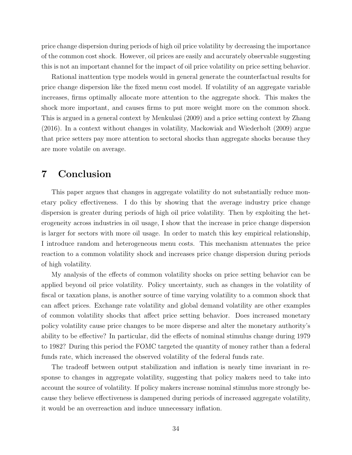price change dispersion during periods of high oil price volatility by decreasing the importance of the common cost shock. However, oil prices are easily and accurately observable suggesting this is not an important channel for the impact of oil price volatility on price setting behavior.

Rational inattention type models would in general generate the counterfactual results for price change dispersion like the fixed menu cost model. If volatility of an aggregate variable increases, firms optimally allocate more attention to the aggregate shock. This makes the shock more important, and causes firms to put more weight more on the common shock. This is argued in a general context by Menkulasi (2009) and a price setting context by Zhang (2016). In a context without changes in volatility, Mackowiak and Wiederholt (2009) argue that price setters pay more attention to sectoral shocks than aggregate shocks because they are more volatile on average.

# 7 Conclusion

This paper argues that changes in aggregate volatility do not substantially reduce monetary policy effectiveness. I do this by showing that the average industry price change dispersion is greater during periods of high oil price volatility. Then by exploiting the heterogeneity across industries in oil usage, I show that the increase in price change dispersion is larger for sectors with more oil usage. In order to match this key empirical relationship, I introduce random and heterogeneous menu costs. This mechanism attenuates the price reaction to a common volatility shock and increases price change dispersion during periods of high volatility.

My analysis of the effects of common volatility shocks on price setting behavior can be applied beyond oil price volatility. Policy uncertainty, such as changes in the volatility of fiscal or taxation plans, is another source of time varying volatility to a common shock that can affect prices. Exchange rate volatility and global demand volatility are other examples of common volatility shocks that affect price setting behavior. Does increased monetary policy volatility cause price changes to be more disperse and alter the monetary authority's ability to be effective? In particular, did the effects of nominal stimulus change during 1979 to 1982? During this period the FOMC targeted the quantity of money rather than a federal funds rate, which increased the observed volatility of the federal funds rate.

The tradeoff between output stabilization and inflation is nearly time invariant in response to changes in aggregate volatility, suggesting that policy makers need to take into account the source of volatility. If policy makers increase nominal stimulus more strongly because they believe effectiveness is dampened during periods of increased aggregate volatility, it would be an overreaction and induce unnecessary inflation.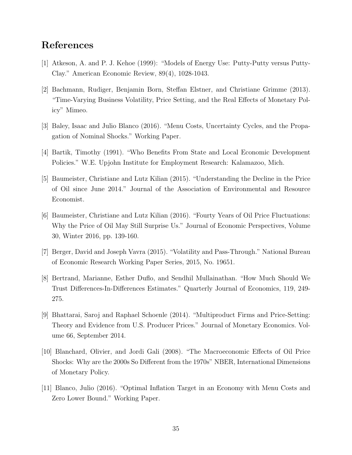# References

- [1] Atkeson, A. and P. J. Kehoe (1999): "Models of Energy Use: Putty-Putty versus Putty-Clay." American Economic Review, 89(4), 1028-1043.
- [2] Bachmann, Rudiger, Benjamin Born, Steffan Elstner, and Christiane Grimme (2013). "Time-Varying Business Volatility, Price Setting, and the Real Effects of Monetary Policy" Mimeo.
- [3] Baley, Isaac and Julio Blanco (2016). "Menu Costs, Uncertainty Cycles, and the Propagation of Nominal Shocks." Working Paper.
- [4] Bartik, Timothy (1991). "Who Benefits From State and Local Economic Development Policies." W.E. Upjohn Institute for Employment Research: Kalamazoo, Mich.
- [5] Baumeister, Christiane and Lutz Kilian (2015). "Understanding the Decline in the Price of Oil since June 2014." Journal of the Association of Environmental and Resource Economist.
- [6] Baumeister, Christiane and Lutz Kilian (2016). "Fourty Years of Oil Price Fluctuations: Why the Price of Oil May Still Surprise Us." Journal of Economic Perspectives, Volume 30, Winter 2016, pp. 139-160.
- [7] Berger, David and Joseph Vavra (2015). "Volatility and Pass-Through." National Bureau of Economic Research Working Paper Series, 2015, No. 19651.
- [8] Bertrand, Marianne, Esther Duflo, and Sendhil Mullainathan. "How Much Should We Trust Differences-In-Differences Estimates." Quarterly Journal of Economics, 119, 249- 275.
- [9] Bhattarai, Saroj and Raphael Schoenle (2014). "Multiproduct Firms and Price-Setting: Theory and Evidence from U.S. Producer Prices." Journal of Monetary Economics. Volume 66, September 2014.
- [10] Blanchard, Olivier, and Jordi Gali (2008). "The Macroeconomic Effects of Oil Price Shocks: Why are the 2000s So Different from the 1970s" NBER, International Dimensions of Monetary Policy.
- [11] Blanco, Julio (2016). "Optimal Inflation Target in an Economy with Menu Costs and Zero Lower Bound." Working Paper.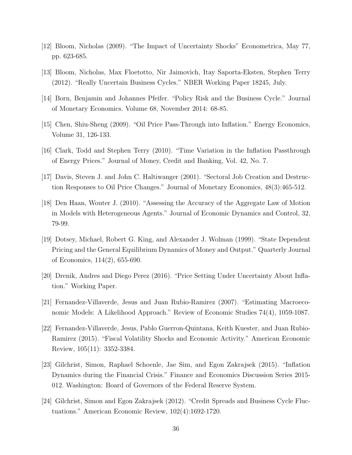- [12] Bloom, Nicholas (2009). "The Impact of Uncertainty Shocks" Econometrica, May 77, pp. 623-685.
- [13] Bloom, Nicholas, Max Floetotto, Nir Jaimovich, Itay Saporta-Eksten, Stephen Terry (2012). "Really Uncertain Business Cycles." NBER Working Paper 18245, July.
- [14] Born, Benjamin and Johannes Pfeifer. "Policy Risk and the Business Cycle." Journal of Monetary Economics. Volume 68, November 2014: 68-85.
- [15] Chen, Shiu-Sheng (2009). "Oil Price Pass-Through into Inflation." Energy Economics, Volume 31, 126-133.
- [16] Clark, Todd and Stephen Terry (2010). "Time Variation in the Inflation Passthrough of Energy Prices." Journal of Money, Credit and Banking, Vol. 42, No. 7.
- [17] Davis, Steven J. and John C. Haltiwanger (2001). "Sectoral Job Creation and Destruction Responses to Oil Price Changes." Journal of Monetary Economics, 48(3):465-512.
- [18] Den Haan, Wouter J. (2010). "Assessing the Accuracy of the Aggregate Law of Motion in Models with Heterogeneous Agents." Journal of Economic Dynamics and Control, 32, 79-99.
- [19] Dotsey, Michael, Robert G. King, and Alexander J. Wolman (1999). "State Dependent Pricing and the General Equilibrium Dynamics of Money and Output." Quarterly Journal of Economics, 114(2), 655-690.
- [20] Drenik, Andres and Diego Perez (2016). "Price Setting Under Uncertainty About Inflation." Working Paper.
- [21] Fernandez-Villaverde, Jesus and Juan Rubio-Ramirez (2007). "Estimating Macroeconomic Models: A Likelihood Approach." Review of Economic Studies 74(4), 1059-1087.
- [22] Fernandez-Villaverde, Jesus, Pablo Guerron-Quintana, Keith Kuester, and Juan Rubio-Ramirez (2015). "Fiscal Volatility Shocks and Economic Activity." American Economic Review, 105(11): 3352-3384.
- [23] Gilchrist, Simon, Raphael Schoenle, Jae Sim, and Egon Zakrajsek (2015). "Inflation Dynamics during the Financial Crisis." Finance and Economics Discussion Series 2015- 012. Washington: Board of Governors of the Federal Reserve System.
- [24] Gilchrist, Simon and Egon Zakrajsek (2012). "Credit Spreads and Business Cycle Fluctuations." American Economic Review, 102(4):1692-1720.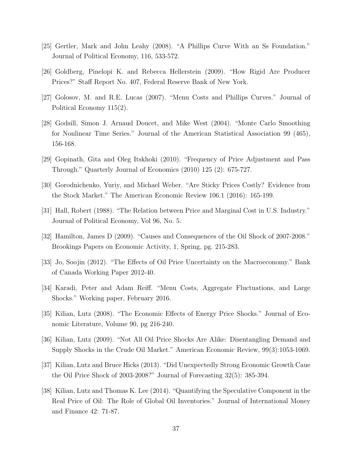- [25] Gertler, Mark and John Leahy (2008). "A Phillips Curve With an Ss Foundation." Journal of Political Economy, 116, 533-572.
- [26] Goldberg, Pinelopi K. and Rebecca Hellerstein (2009). "How Rigid Are Producer Prices?" Staff Report No. 407, Federal Reserve Bank of New York.
- [27] Golosov, M. and R.E. Lucas (2007). "Menu Costs and Phillips Curves." Journal of Political Economy 115(2).
- [28] Godsill, Simon J. Arnaud Doucet, and Mike West (2004). "Monte Carlo Smoothing for Nonlinear Time Series." Journal of the American Statistical Association 99 (465), 156-168.
- [29] Gopinath, Gita and Oleg Itskhoki (2010). "Frequency of Price Adjustment and Pass Through." Quarterly Journal of Economics (2010) 125 (2): 675-727.
- [30] Gorodnichenko, Yuriy, and Michael Weber. "Are Sticky Prices Costly? Evidence from the Stock Market." The American Economic Review 106.1 (2016): 165-199.
- [31] Hall, Robert (1988). "The Relation between Price and Marginal Cost in U.S. Industry." Journal of Political Economy, Vol 96, No. 5.
- [32] Hamilton, James D (2009). "Causes and Consequences of the Oil Shock of 2007-2008." Brookings Papers on Economic Activity, 1, Spring, pg. 215-283.
- [33] Jo, Soojin (2012). "The Effects of Oil Price Uncertainty on the Macroeconomy." Bank of Canada Working Paper 2012-40.
- [34] Karadi, Peter and Adam Reiff. "Menu Costs, Aggregate Fluctuations, and Large Shocks." Working paper, February 2016.
- [35] Kilian, Lutz (2008). "The Economic Effects of Energy Price Shocks." Journal of Economic Literature, Volume 90, pg 216-240.
- [36] Kilian, Lutz (2009). "Not All Oil Price Shocks Are Alike: Disentangling Demand and Supply Shocks in the Crude Oil Market." American Economic Review, 99(3):1053-1069.
- [37] Kilian, Lutz and Bruce Hicks (2013). "Did Unexpectedly Strong Economic Growth Caue the Oil Price Shock of 2003-2008?" Journal of Forecasting 32(5): 385-394.
- [38] Kilian, Lutz and Thomas K. Lee (2014). "Quantifying the Speculative Component in the Real Price of Oil: The Role of Global Oil Inventories." Journal of International Money and Finance 42: 71-87.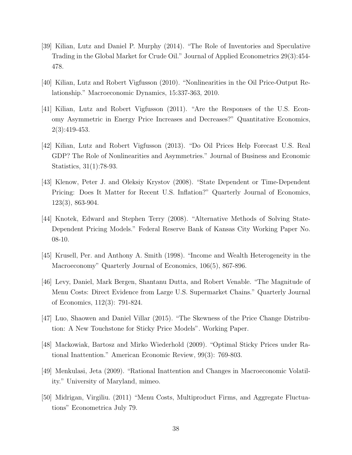- [39] Kilian, Lutz and Daniel P. Murphy (2014). "The Role of Inventories and Speculative Trading in the Global Market for Crude Oil." Journal of Applied Econometrics 29(3):454- 478.
- [40] Kilian, Lutz and Robert Vigfusson (2010). "Nonlinearities in the Oil Price-Output Relationship." Macroeconomic Dynamics, 15:337-363, 2010.
- [41] Kilian, Lutz and Robert Vigfusson (2011). "Are the Responses of the U.S. Economy Asymmetric in Energy Price Increases and Decreases?" Quantitative Economics,  $2(3):419-453.$
- [42] Kilian, Lutz and Robert Vigfusson (2013). "Do Oil Prices Help Forecast U.S. Real GDP? The Role of Nonlinearities and Asymmetries." Journal of Business and Economic Statistics, 31(1):78-93.
- [43] Klenow, Peter J. and Oleksiy Krystov (2008). "State Dependent or Time-Dependent Pricing: Does It Matter for Recent U.S. Inflation?" Quarterly Journal of Economics, 123(3), 863-904.
- [44] Knotek, Edward and Stephen Terry (2008). "Alternative Methods of Solving State-Dependent Pricing Models." Federal Reserve Bank of Kansas City Working Paper No. 08-10.
- [45] Krusell, Per. and Anthony A. Smith (1998). "Income and Wealth Heterogeneity in the Macroeconomy" Quarterly Journal of Economics, 106(5), 867-896.
- [46] Levy, Daniel, Mark Bergen, Shantanu Dutta, and Robert Venable. "The Magnitude of Menu Costs: Direct Evidence from Large U.S. Supermarket Chains." Quarterly Journal of Economics, 112(3): 791-824.
- [47] Luo, Shaowen and Daniel Villar (2015). "The Skewness of the Price Change Distribution: A New Touchstone for Sticky Price Models". Working Paper.
- [48] Mackowiak, Bartosz and Mirko Wiederhold (2009). "Optimal Sticky Prices under Rational Inattention." American Economic Review, 99(3): 769-803.
- [49] Menkulasi, Jeta (2009). "Rational Inattention and Changes in Macroeconomic Volatility." University of Maryland, mimeo.
- [50] Midrigan, Virgiliu. (2011) "Menu Costs, Multiproduct Firms, and Aggregate Fluctuations" Econometrica July 79.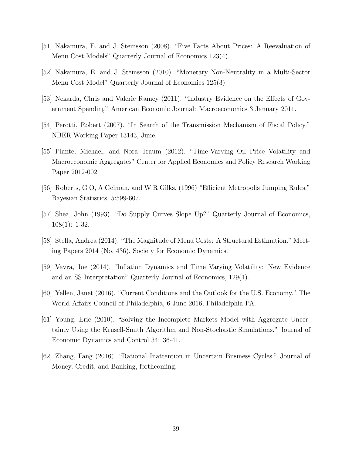- [51] Nakamura, E. and J. Steinsson (2008). "Five Facts About Prices: A Reevaluation of Menu Cost Models" Quarterly Journal of Economics 123(4).
- [52] Nakamura, E. and J. Steinsson (2010). "Monetary Non-Neutrality in a Multi-Sector Menu Cost Model" Quarterly Journal of Economics 125(3).
- [53] Nekarda, Chris and Valerie Ramey (2011). "Industry Evidence on the Effects of Government Spending" American Economic Journal: Macroeconomics 3 January 2011.
- [54] Perotti, Robert (2007). "In Search of the Transmission Mechanism of Fiscal Policy." NBER Working Paper 13143, June.
- [55] Plante, Michael, and Nora Traum (2012). "Time-Varying Oil Price Volatility and Macroeconomic Aggregates" Center for Applied Economics and Policy Research Working Paper 2012-002.
- [56] Roberts, G O, A Gelman, and W R Gilks. (1996) "Efficient Metropolis Jumping Rules." Bayesian Statistics, 5:599-607.
- [57] Shea, John (1993). "Do Supply Curves Slope Up?" Quarterly Journal of Economics, 108(1): 1-32.
- [58] Stella, Andrea (2014). "The Magnitude of Menu Costs: A Structural Estimation." Meeting Papers 2014 (No. 436). Society for Economic Dynamics.
- [59] Vavra, Joe (2014). "Inflation Dynamics and Time Varying Volatility: New Evidence and an SS Interpretation" Quarterly Journal of Economics, 129(1).
- [60] Yellen, Janet (2016). "Current Conditions and the Outlook for the U.S. Economy." The World Affairs Council of Philadelphia, 6 June 2016, Philadelphia PA.
- [61] Young, Eric (2010). "Solving the Incomplete Markets Model with Aggregate Uncertainty Using the Krusell-Smith Algorithm and Non-Stochastic Simulations." Journal of Economic Dynamics and Control 34: 36-41.
- [62] Zhang, Fang (2016). "Rational Inattention in Uncertain Business Cycles." Journal of Money, Credit, and Banking, forthcoming.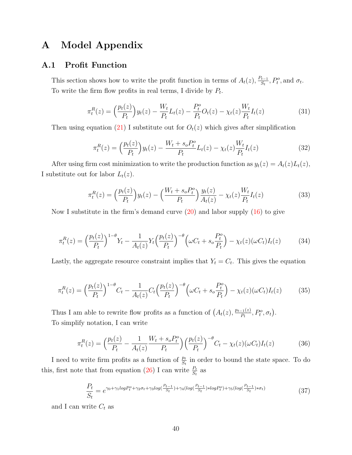# A Model Appendix

# A.1 Profit Function

This section shows how to write the profit function in terms of  $A_t(z)$ ,  $\frac{P_{t-1}}{S_t}$  $P_{\frac{t-1}{S_t}}^t$ ,  $P_t^o$ , and  $\sigma_t$ . To write the firm flow profits in real terms, I divide by  $P_t$ .

$$
\pi_t^R(z) = \left(\frac{p_t(z)}{P_t}\right) y_t(z) - \frac{W_t}{P_t} L_t(z) - \frac{P_t^o}{P_t} O_t(z) - \chi_t(z) \frac{W_t}{P_t} I_t(z) \tag{31}
$$

Then using equation [\(21\)](#page-25-2) I substitute out for  $O_t(z)$  which gives after simplification

$$
\pi_t^R(z) = \left(\frac{p_t(z)}{P_t}\right) y_t(z) - \frac{W_t + s_o P_t^o}{P_t} L_t(z) - \chi_t(z) \frac{W_t}{P_t} I_t(z)
$$
\n(32)

After using firm cost minimization to write the production function as  $y_t(z) = A_t(z)L_t(z)$ , I substitute out for labor  $L_t(z)$ .

$$
\pi_t^R(z) = \left(\frac{p_t(z)}{P_t}\right) y_t(z) - \left(\frac{W_t + s_o P_t^o}{P_t}\right) \frac{y_t(z)}{A_t(z)} - \chi_t(z) \frac{W_t}{P_t} I_t(z) \tag{33}
$$

Now I substitute in the firm's demand curve  $(20)$  and labor supply  $(16)$  to give

$$
\pi_t^R(z) = \left(\frac{p_t(z)}{P_t}\right)^{1-\theta} Y_t - \frac{1}{A_t(z)} Y_t \left(\frac{p_t(z)}{P_t}\right)^{-\theta} \left(\omega C_t + s_o \frac{P_t^o}{P_t}\right) - \chi_t(z) (\omega C_t) I_t(z) \tag{34}
$$

Lastly, the aggregate resource constraint implies that  $Y_t = C_t$ . This gives the equation

$$
\pi_t^R(z) = \left(\frac{p_t(z)}{P_t}\right)^{1-\theta} C_t - \frac{1}{A_t(z)} C_t \left(\frac{p_t(z)}{P_t}\right)^{-\theta} \left(\omega C_t + s_o \frac{P_t^o}{P_t}\right) - \chi_t(z) (\omega C_t) I_t(z) \tag{35}
$$

Thus I am able to rewrite flow profits as a function of  $(A_t(z), \frac{p_{t-1}(z)}{P_t})$  $\frac{(-1)(z)}{P_t}, P_t^o, \sigma_t\big).$ To simplify notation, I can write

$$
\pi_t^R(z) = \left(\frac{p_t(z)}{P_t} - \frac{1}{A_t(z)} \frac{W_t + s_o P_t^o}{P_t}\right) \left(\frac{p_t(z)}{P_t}\right)^{-\theta} C_t - \chi_t(z) (\omega C_t) I_t(z) \tag{36}
$$

I need to write firm profits as a function of  $\frac{p_t}{S_t}$  in order to bound the state space. To do this, first note that from equation [\(26\)](#page-26-1) I can write  $\frac{P_t}{S_t}$  as

$$
\frac{P_t}{S_t} = e^{\gamma_0 + \gamma_1 log P_t^o + \gamma_2 \sigma_t + \gamma_3 log(\frac{P_{t-1}}{S_t}) + \gamma_4 (log(\frac{P_{t-1}}{S_t}) * log P_t^o) + \gamma_5 (log(\frac{P_{t-1}}{S_t}) * \sigma_t)} \tag{37}
$$

and I can write  $C_t$  as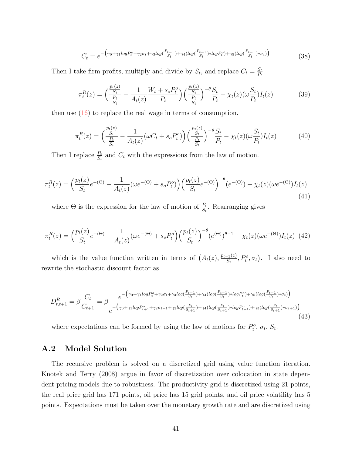$$
C_t = e^{-\left(\gamma_0 + \gamma_1 log P_t^o + \gamma_2 \sigma_t + \gamma_3 log\left(\frac{P_{t-1}}{S_t}\right) + \gamma_4 (log\left(\frac{P_{t-1}}{S_t}\right) * log P_t^o) + \gamma_5 (log\left(\frac{P_{t-1}}{S_t}\right) * \sigma_t)\right)}
$$
(38)

Then I take firm profits, multiply and divide by  $S_t$ , and replace  $C_t = \frac{S_t}{P_t}$  $\frac{S_t}{P_t}$  .

$$
\pi_t^R(z) = \left(\frac{\frac{p_t(z)}{S_t}}{\frac{P_t}{S_t}} - \frac{1}{A_t(z)} \frac{W_t + s_o P_t^o}{P_t}\right) \left(\frac{\frac{p_t(z)}{S_t}}{\frac{P_t}{S_t}}\right)^{-\theta} \frac{S_t}{P_t} - \chi_t(z) (\omega \frac{S_t}{P_t}) I_t(z) \tag{39}
$$

then use  $(16)$  to replace the real wage in terms of consumption.

$$
\pi_t^R(z) = \left(\frac{\frac{p_t(z)}{S_t}}{\frac{P_t}{S_t}} - \frac{1}{A_t(z)}(\omega C_t + s_o P_t^o)\right) \left(\frac{\frac{p_t(z)}{S_t}}{\frac{P_t}{S_t}}\right)^{-\theta} \frac{S_t}{P_t} - \chi_t(z) (\omega \frac{S_t}{P_t}) I_t(z) \tag{40}
$$

Then I replace  $\frac{P_t}{S_t}$  and  $C_t$  with the expressions from the law of motion.

$$
\pi_t^R(z) = \left(\frac{p_t(z)}{S_t}e^{-(\Theta)} - \frac{1}{A_t(z)}(\omega e^{-(\Theta)} + s_o P_t^o)\right) \left(\frac{p_t(z)}{S_t}e^{-(\Theta)}\right)^{-\theta} (e^{-(\Theta)}) - \chi_t(z)(\omega e^{-(\Theta)})I_t(z)
$$
\n(41)

where  $\Theta$  is the expression for the law of motion of  $\frac{P_t}{S_t}$ . Rearranging gives

$$
\pi_t^R(z) = \left(\frac{p_t(z)}{S_t}e^{-(\Theta)} - \frac{1}{A_t(z)}(\omega e^{-(\Theta)} + s_o P_t^o\right)\left(\frac{p_t(z)}{S_t}\right)^{-\theta}(e^{(\Theta)})^{\theta-1} - \chi_t(z)(\omega e^{-(\Theta)})I_t(z)
$$
(42)

which is the value function written in terms of  $(A_t(z), \frac{p_{t-1}(z)}{S_t})$  $\frac{(-1)(z)}{S_t}, P_t^o, \sigma_t$ . I also need to rewrite the stochastic discount factor as

$$
D_{t,t+1}^{R} = \beta \frac{C_{t}}{C_{t+1}} = \beta \frac{e^{-\left(\gamma_{0} + \gamma_{1} log P_{t}^{o} + \gamma_{2} \sigma_{t} + \gamma_{3} log\left(\frac{P_{t-1}}{S_{t}}\right) + \gamma_{4} (log\left(\frac{P_{t-1}}{S_{t}}\right) * log P_{t}^{o}) + \gamma_{5} (log\left(\frac{P_{t-1}}{S_{t}}\right) * \sigma_{t})\right)}}{e^{-\left(\gamma_{0} + \gamma_{1} log P_{t+1}^{o} + \gamma_{2} \sigma_{t+1} + \gamma_{3} log\left(\frac{P_{t}}{S_{t+1}}\right) + \gamma_{4} (log\left(\frac{P_{t}}{S_{t+1}}\right) * log P_{t+1}^{o}) + \gamma_{5} (log\left(\frac{P_{t}}{S_{t+1}}\right) * \sigma_{t+1})\right)}}{(43)}
$$

where expectations can be formed by using the law of motions for  $P_t^o$ ,  $\sigma_t$ ,  $S_t$ .

# <span id="page-41-0"></span>A.2 Model Solution

The recursive problem is solved on a discretized grid using value function iteration. Knotek and Terry (2008) argue in favor of discretization over colocation in state dependent pricing models due to robustness. The productivity grid is discretized using 21 points, the real price grid has 171 points, oil price has 15 grid points, and oil price volatility has 5 points. Expectations must be taken over the monetary growth rate and are discretized using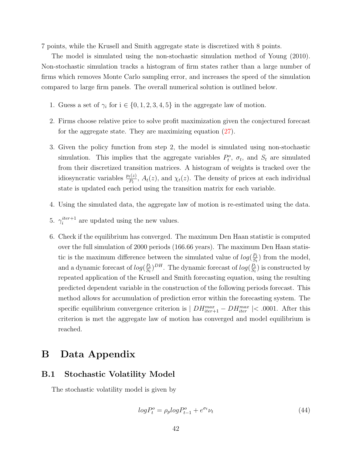7 points, while the Krusell and Smith aggregate state is discretized with 8 points.

The model is simulated using the non-stochastic simulation method of Young (2010). Non-stochastic simulation tracks a histogram of firm states rather than a large number of firms which removes Monte Carlo sampling error, and increases the speed of the simulation compared to large firm panels. The overall numerical solution is outlined below.

- 1. Guess a set of  $\gamma_i$  for  $i \in \{0, 1, 2, 3, 4, 5\}$  in the aggregate law of motion.
- 2. Firms choose relative price to solve profit maximization given the conjectured forecast for the aggregate state. They are maximizing equation [\(27\)](#page-26-2).
- 3. Given the policy function from step 2, the model is simulated using non-stochastic simulation. This implies that the aggregate variables  $P_t^o$ ,  $\sigma_t$ , and  $S_t$  are simulated from their discretized transition matrices. A histogram of weights is tracked over the idiosyncratic variables  $\frac{p_t(z)}{P_t}$ ,  $A_t(z)$ , and  $\chi_t(z)$ . The density of prices at each individual state is updated each period using the transition matrix for each variable.
- 4. Using the simulated data, the aggregate law of motion is re-estimated using the data.
- 5.  $\gamma_i^{iter+1}$  $i^{iter+1}$  are updated using the new values.
- 6. Check if the equilibrium has converged. The maximum Den Haan statistic is computed over the full simulation of 2000 periods (166.66 years). The maximum Den Haan statistic is the maximum difference between the simulated value of  $log(\frac{P_t}{S_t})$  $\frac{P_t}{S_t}$ ) from the model, and a dynamic forecast of  $log(\frac{P_t}{S_t})$  $\frac{P_t}{S_t}$ )<sup>DH</sup>. The dynamic forecast of  $log(\frac{P_t}{S_t})$  $\frac{P_t}{S_t}$ ) is constructed by repeated application of the Krusell and Smith forecasting equation, using the resulting predicted dependent variable in the construction of the following periods forecast. This method allows for accumulation of prediction error within the forecasting system. The specific equilibrium convergence criterion is  $|DH_{iter+1}^{max} - DH_{iter}^{max}| < .0001$ . After this criterion is met the aggregate law of motion has converged and model equilibrium is reached.

# B Data Appendix

#### <span id="page-42-0"></span>B.1 Stochastic Volatility Model

The stochastic volatility model is given by

$$
log P_t^o = \rho_p log P_{t-1}^o + e^{\sigma_t} \nu_t \tag{44}
$$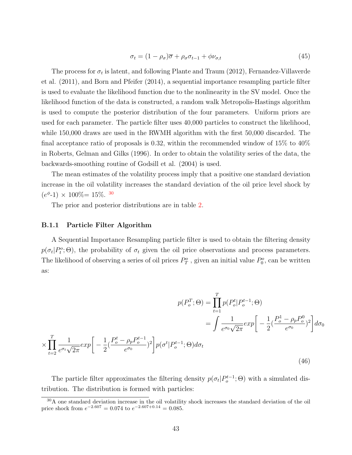<span id="page-43-1"></span>
$$
\sigma_t = (1 - \rho_\sigma)\overline{\sigma} + \rho_\sigma \sigma_{t-1} + \phi \nu_{\sigma, t} \tag{45}
$$

The process for  $\sigma_t$  is latent, and following Plante and Traum (2012), Fernandez-Villaverde et al. (2011), and Born and Pfeifer (2014), a sequential importance resampling particle filter is used to evaluate the likelihood function due to the nonlinearity in the SV model. Once the likelihood function of the data is constructed, a random walk Metropolis-Hastings algorithm is used to compute the posterior distribution of the four parameters. Uniform priors are used for each parameter. The particle filter uses 40,000 particles to construct the likelihood, while 150,000 draws are used in the RWMH algorithm with the first 50,000 discarded. The final acceptance ratio of proposals is 0.32, within the recommended window of 15% to 40% in Roberts, Gelman and Gilks (1996). In order to obtain the volatility series of the data, the backwards-smoothing routine of Godsill et al. (2004) is used.

The mean estimates of the volatility process imply that a positive one standard deviation increase in the oil volatility increases the standard deviation of the oil price level shock by  $(e^{\phi} - 1) \times 100\% = 15\%.$ <sup>[30](#page-43-0)</sup>

The prior and posterior distributions are in table [2.](#page-10-1)

#### B.1.1 Particle Filter Algorithm

A Sequential Importance Resampling particle filter is used to obtain the filtering density  $p(\sigma_t|P_t^o;\Theta)$ , the probability of  $\sigma_t$  given the oil price observations and process parameters. The likelihood of observing a series of oil prices  $P_T^o$ , given an initial value  $P_0^o$ , can be written as:

$$
p(P_o^T; \Theta) = \prod_{t=1}^T p(P_o^t | P_o^{t-1}; \Theta)
$$
  
= 
$$
\int \frac{1}{e^{\sigma_0} \sqrt{2\pi}} exp\left[ -\frac{1}{2} (\frac{P_o^t - \rho_p P_o^{t-1}}{e^{\sigma_0}})^2 \right] d\sigma_0
$$
  

$$
\times \prod_{t=2}^T \frac{1}{e^{\sigma_t} \sqrt{2\pi}} exp\left[ -\frac{1}{2} (\frac{P_o^t - \rho_p P_o^{t-1}}{e^{\sigma_0}})^2 \right] p(\sigma^t | P_o^{t-1}; \Theta) d\sigma_t
$$
 (46)

The particle filter approximates the filtering density  $p(\sigma_t|P_o^{t-1};\Theta)$  with a simulated distribution. The distribution is formed with particles:

<span id="page-43-0"></span><sup>30</sup>A one standard deviation increase in the oil volatility shock increases the standard deviation of the oil price shock from  $e^{-2.607} = 0.074$  to  $e^{-2.607 + 0.14} = 0.085$ .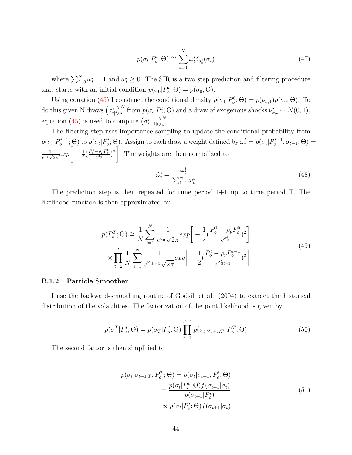<span id="page-44-0"></span>
$$
p(\sigma_t|P_o^t; \Theta) \cong \sum_{i=0}^{N} \omega_t^i \delta_{\sigma_t^i}(\sigma_t)
$$
\n(47)

where  $\sum_{i=0}^{N} \omega_t^i = 1$  and  $\omega_t^i \geq 0$ . The SIR is a two step prediction and filtering procedure that starts with an initial condition  $p(\sigma_0|P_o^t;\Theta) = p(\sigma_0;\Theta)$ .

Using equation [\(45\)](#page-43-1) I construct the conditional density  $p(\sigma_1|P_o^0;\Theta) = p(\nu_{\sigma,1})p(\sigma_0;\Theta)$ . To do this given N draws  $(\sigma_{t|t}^i)_{i}^N$  from  $p(\sigma_t|P_o^t;\Theta)$  and a draw of exogenous shocks  $\nu_{\sigma,t}^i \sim N(0, 1)$ , equation [\(45\)](#page-43-1) is used to compute  $(\sigma_{t+1|t})_i^N$ .

The filtering step uses importance sampling to update the conditional probability from  $p(\sigma_t|P_o^{t-1};\Theta)$  to  $p(\sigma_t|P_o^t;\Theta)$ . Assign to each draw a weight defined by  $\omega_t^i = p(\sigma_t|P_o^{t-1},\sigma_{t-1};\Theta)$ 1  $\frac{1}{e^{\sigma_t}\sqrt{2\pi}}exp\Big[-\frac{1}{2}\Big]$  $\frac{1}{2} \left( \frac{P_o^1 - \rho_p P_o^0}{e^{\sigma_t}} \right)^2$ . The weights are then normalized to

$$
\tilde{\omega}_t^i = \frac{\omega_t^i}{\sum_{i=1}^N \omega_t^i} \tag{48}
$$

The prediction step is then repeated for time period  $t+1$  up to time period T. The likelihood function is then approximated by

$$
p(P_o^T; \Theta) \cong \frac{1}{N} \sum_{i=1}^N \frac{1}{e^{\sigma_0^i} \sqrt{2\pi}} exp\left[ -\frac{1}{2} (\frac{P_o^1 - \rho_p P_o^0}{e^{\sigma_0^i}})^2 \right]
$$

$$
\times \prod_{t=2}^T \frac{1}{N} \sum_{i=1}^N \frac{1}{e^{\sigma_{t|t-1}^i} \sqrt{2\pi}} exp\left[ -\frac{1}{2} (\frac{P_o^t - \rho_p P_o^{t-1}}{e^{\sigma_{t|t-1}^i}})^2 \right]
$$
(49)

#### B.1.2 Particle Smoother

I use the backward-smoothing routine of Godsill et al. (2004) to extract the historical distribution of the volatilities. The factorization of the joint likelihood is given by

$$
p(\sigma^T | P_o^t; \Theta) = p(\sigma_T | P_o^t; \Theta) \prod_{t=1}^{T-1} p(\sigma_t | \sigma_{t+1:T}, P_o^T; \Theta)
$$
\n(50)

The second factor is then simplified to

$$
p(\sigma_t|\sigma_{t+1:T}, P_o^T; \Theta) = p(\sigma_t|\sigma_{t+1}, P_o^t; \Theta)
$$
  
= 
$$
\frac{p(\sigma_t|P_o^t; \Theta) f(\sigma_{t+1}|\sigma_t)}{p(\sigma_{t+1}|P_o^t)}
$$
  
\$\propto p(\sigma\_t|P\_o^t; \Theta) f(\sigma\_{t+1}|\sigma\_t)\$} \tag{51}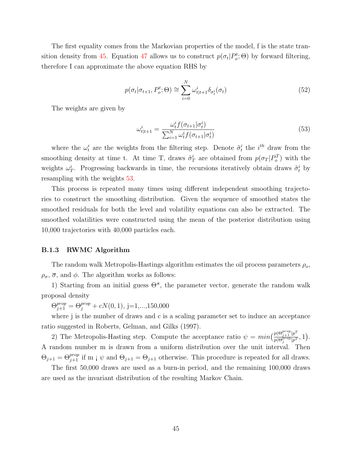The first equality comes from the Markovian properties of the model, f is the state tran-sition density from [45.](#page-43-1) Equation [47](#page-44-0) allows us to construct  $p(\sigma_t|P_o^t;\Theta)$  by forward filtering, therefore I can approximate the above equation RHS by

$$
p(\sigma_t|\sigma_{t+1}, P_o^t; \Theta) \cong \sum_{i=0}^N \omega_{t|t+1}^i \delta_{\sigma_t^i}(\sigma_t)
$$
\n(52)

The weights are given by

<span id="page-45-0"></span>
$$
\omega_{t|t+1}^i = \frac{\omega_t^i f(\sigma_{t+1}|\sigma_t^i)}{\sum_{i=1}^N \omega_t^i f(\sigma_{t+1}|\sigma_t^i)}
$$
(53)

where the  $\omega_t^i$  are the weights from the filtering step. Denote  $\tilde{\sigma}_t^i$  the  $i^{th}$  draw from the smoothing density at time t. At time T, draws  $\tilde{\sigma}_T^i$  are obtained from  $p(\sigma_T|P_o^T)$  with the weights  $\omega_T^i$ . Progressing backwards in time, the recursions iteratively obtain draws  $\tilde{\sigma}_t^i$  by resampling with the weights [53.](#page-45-0)

This process is repeated many times using different independent smoothing trajectories to construct the smoothing distribution. Given the sequence of smoothed states the smoothed residuals for both the level and volatility equations can also be extracted. The smoothed volatilities were constructed using the mean of the posterior distribution using 10,000 trajectories with 40,000 particles each.

#### B.1.3 RWMC Algorithm

The random walk Metropolis-Hastings algorithm estimates the oil process parameters  $\rho_o$ ,  $\rho_{\sigma}$ ,  $\overline{\sigma}$ , and  $\phi$ . The algorithm works as follows:

1) Starting from an initial guess  $\Theta^*$ , the parameter vector, generate the random walk proposal density

 $\Theta_{j+1}^{prop} = \Theta_j^{prop} + cN(0, 1), j=1,...,150,000$ 

where j is the number of draws and c is a scaling parameter set to induce an acceptance ratio suggested in Roberts, Gelman, and Gilks (1997).

2) The Metropolis-Hasting step. Compute the acceptance ratio  $\psi = min \left( \frac{p(\Theta_{j+1}^{prop})p^T}{p(\Theta_{j}^{prop})p^T}\right)$  $\frac{p(\Theta_{j+1}^r | p^r)}{p(\Theta_j^{prop} | p^T}, 1).$ A random number m is drawn from a uniform distribution over the unit interval. Then  $\Theta_{j+1} = \Theta_{j+1}^{prop}$  if m ;  $\psi$  and  $\Theta_{j+1} = \Theta_{j+1}$  otherwise. This procedure is repeated for all draws.

The first 50,000 draws are used as a burn-in period, and the remaining 100,000 draws are used as the invariant distribution of the resulting Markov Chain.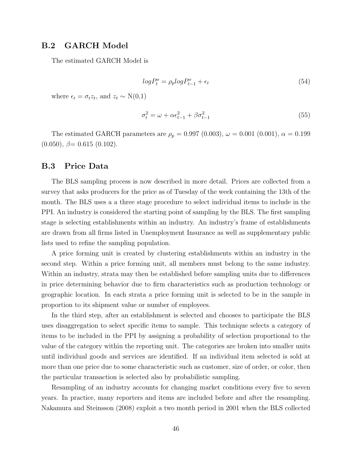### B.2 GARCH Model

The estimated GARCH Model is

$$
log P_t^o = \rho_p log P_{t-1}^o + \epsilon_t \tag{54}
$$

where  $\epsilon_t = \sigma_t z_t$ , and  $z_t \sim N(0,1)$ 

$$
\sigma_t^2 = \omega + \alpha \epsilon_{t-1}^2 + \beta \sigma_{t-1}^2 \tag{55}
$$

The estimated GARCH parameters are  $\rho_p = 0.997 (0.003), \omega = 0.001 (0.001), \alpha = 0.199$  $(0.050), \beta = 0.615 \ (0.102).$ 

#### <span id="page-46-0"></span>B.3 Price Data

The BLS sampling process is now described in more detail. Prices are collected from a survey that asks producers for the price as of Tuesday of the week containing the 13th of the month. The BLS uses a a three stage procedure to select individual items to include in the PPI. An industry is considered the starting point of sampling by the BLS. The first sampling stage is selecting establishments within an industry. An industry's frame of establishments are drawn from all firms listed in Unemployment Insurance as well as supplementary public lists used to refine the sampling population.

A price forming unit is created by clustering establishments within an industry in the second step. Within a price forming unit, all members must belong to the same industry. Within an industry, strata may then be established before sampling units due to differences in price determining behavior due to firm characteristics such as production technology or geographic location. In each strata a price forming unit is selected to be in the sample in proportion to its shipment value or number of employees.

In the third step, after an establishment is selected and chooses to participate the BLS uses disaggregation to select specific items to sample. This technique selects a category of items to be included in the PPI by assigning a probability of selection proportional to the value of the category within the reporting unit. The categories are broken into smaller units until individual goods and services are identified. If an individual item selected is sold at more than one price due to some characteristic such as customer, size of order, or color, then the particular transaction is selected also by probabilistic sampling.

Resampling of an industry accounts for changing market conditions every five to seven years. In practice, many reporters and items are included before and after the resampling. Nakamura and Steinsson (2008) exploit a two month period in 2001 when the BLS collected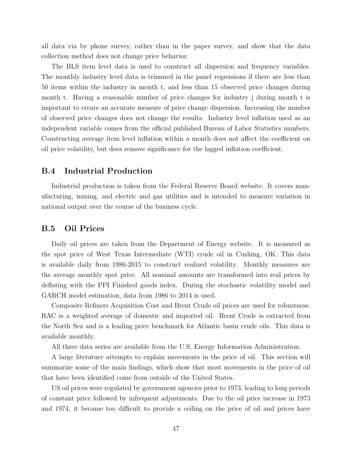all data via by phone survey, rather than in the paper survey, and show that the data collection method does not change price behavior.

The BLS item level data is used to construct all dispersion and frequency variables. The monthly industry level data is trimmed in the panel regressions if there are less than 50 items within the industry in month t, and less than 15 observed price changes during month t. Having a reasonable number of price changes for industry j during month t is important to create an accurate measure of price change dispersion. Increasing the number of observed price changes does not change the results. Industry level inflation used as an independent variable comes from the official published Bureau of Labor Statistics numbers. Constructing average item level inflation within a month does not affect the coefficient on oil price volatility, but does remove significance for the lagged inflation coefficient.

#### B.4 Industrial Production

Industrial production is taken from the Federal Reserve Board website. It covers manufacturing, mining, and electric and gas utilities and is intended to measure variation in national output over the course of the business cycle.

#### <span id="page-47-0"></span>B.5 Oil Prices

Daily oil prices are taken from the Department of Energy website. It is measured as the spot price of West Texas Intermediate (WTI) crude oil in Cushing, OK. This data is available daily from 1986-2015 to construct realized volatility. Monthly measures are the average monthly spot price. All nominal amounts are transformed into real prices by deflating with the PPI Finished goods index. During the stochastic volatility model and GARCH model estimation, data from 1986 to 2014 is used.

Composite Refiners Acquisition Cost and Brent Crude oil prices are used for robustness. RAC is a weighted average of domestic and imported oil. Brent Crude is extracted from the North Sea and is a leading price benchmark for Atlantic basin crude oils. This data is available monthly.

All three data series are available from the U.S. Energy Information Administration.

A large literature attempts to explain movements in the price of oil. This section will summarize some of the main findings, which show that most movements in the price of oil that have been identified come from outside of the United States.

US oil prices were regulated by government agencies prior to 1973, leading to long periods of constant price followed by infrequent adjustments. Due to the oil price increase in 1973 and 1974, it became too difficult to provide a ceiling on the price of oil and prices have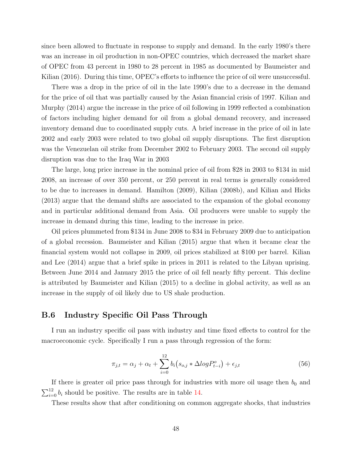since been allowed to fluctuate in response to supply and demand. In the early 1980's there was an increase in oil production in non-OPEC countries, which decreased the market share of OPEC from 43 percent in 1980 to 28 percent in 1985 as documented by Baumeister and Kilian (2016). During this time, OPEC's efforts to influence the price of oil were unsuccessful.

There was a drop in the price of oil in the late 1990's due to a decrease in the demand for the price of oil that was partially caused by the Asian financial crisis of 1997. Kilian and Murphy (2014) argue the increase in the price of oil following in 1999 reflected a combination of factors including higher demand for oil from a global demand recovery, and increased inventory demand due to coordinated supply cuts. A brief increase in the price of oil in late 2002 and early 2003 were related to two global oil supply disruptions. The first disruption was the Venezuelan oil strike from December 2002 to February 2003. The second oil supply disruption was due to the Iraq War in 2003

The large, long price increase in the nominal price of oil from \$28 in 2003 to \$134 in mid 2008, an increase of over 350 percent, or 250 percent in real terms is generally considered to be due to increases in demand. Hamilton (2009), Kilian (2008b), and Kilian and Hicks (2013) argue that the demand shifts are associated to the expansion of the global economy and in particular additional demand from Asia. Oil producers were unable to supply the increase in demand during this time, leading to the increase in price.

Oil prices plummeted from \$134 in June 2008 to \$34 in February 2009 due to anticipation of a global recession. Baumeister and Kilian (2015) argue that when it became clear the financial system would not collapse in 2009, oil prices stabilized at \$100 per barrel. Kilian and Lee (2014) argue that a brief spike in prices in 2011 is related to the Libyan uprising. Between June 2014 and January 2015 the price of oil fell nearly fifty percent. This decline is attributed by Baumeister and Kilian (2015) to a decline in global activity, as well as an increase in the supply of oil likely due to US shale production.

# B.6 Industry Specific Oil Pass Through

I run an industry specific oil pass with industry and time fixed effects to control for the macroeconomic cycle. Specifically I run a pass through regression of the form:

$$
\pi_{j,t} = \alpha_j + \alpha_t + \sum_{i=0}^{12} b_i \left( s_{o,j} * \Delta log P_{t-i}^o \right) + \epsilon_{j,t}
$$
\n
$$
(56)
$$

If there is greater oil price pass through for industries with more oil usage then  $b_0$  and  $\sum_{i=0}^{12} b_i$  should be positive. The results are in table [14.](#page-49-1)

These results show that after conditioning on common aggregate shocks, that industries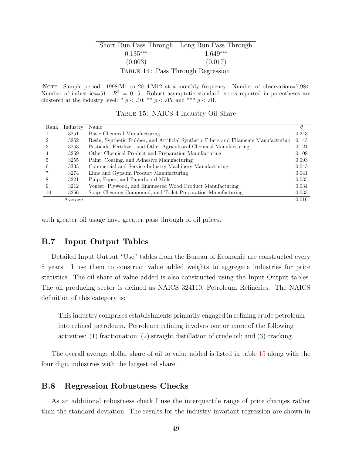| Short Run Pass Through Long Run Pass Through                                                |            |
|---------------------------------------------------------------------------------------------|------------|
| $0.135***$                                                                                  | $1.649***$ |
| (0.003)                                                                                     | (0.017)    |
| $\mathbf{m}_{\text{total}}$ and $\mathbf{m}_{\text{total}}$ and $\mathbf{m}_{\text{total}}$ |            |

Table 14: Pass Through Regression

<span id="page-49-1"></span>NOTE: Sample period: 1998:M1 to 2014:M12 at a monthly frequency. Number of observation=7,984. Number of industries=51.  $R^2 = 0.15$ . Robust asymptotic standard errors reported in parentheses are clustered at the industry level: \*  $p < .10$ ; \*\*  $p < .05$ ; and \*\*\*  $p < .01$ .

<span id="page-49-2"></span>

| Rank | Industry | Name                                                                                 | $\theta$ |
|------|----------|--------------------------------------------------------------------------------------|----------|
|      | 3251     | Basic Chemical Manufacturing                                                         | 0.243    |
|      | 3252     | Resin, Synthetic Rubber, and Artificial Synthetic Fibers and Filaments Manufacturing | 0.143    |
| 3    | 3253     | Pesticide, Fertilizer, and Other Agricultural Chemical Manufacturing                 | 0.124    |
| 4    | 3259     | Other Chemical Product and Preparation Manufacturing                                 | 0.108    |
| 5    | 3255     | Paint, Coating, and Adhesive Manufacturing                                           | 0.093    |
| 6    | 3333     | Commercial and Service Industry Machinery Manufacturing                              | 0.043    |
|      | 3274     | Lime and Gypsum Product Manufacturing                                                | 0.041    |
| 8    | 3221     | Pulp, Paper, and Paperboard Mills                                                    | 0.035    |
| 9    | 3212     | Veneer, Plywood, and Engineered Wood Product Manufacturing                           | 0.034    |
| 10   | 3256     | Soap, Cleaning Compound, and Toilet Preparation Manufacturing                        | 0.033    |
|      | Average  |                                                                                      | 0.016    |

Table 15: NAICS 4 Industry Oil Share

with greater oil usage have greater pass through of oil prices.

### B.7 Input Output Tables

Detailed Input Output "Use" tables from the Bureau of Economic are constructed every 5 years. I use them to construct value added weights to aggregate industries for price statistics. The oil share of value added is also constructed using the Input Output tables. The oil producing sector is defined as NAICS 324110, Petroleum Refineries. The NAICS definition of this category is:

This industry comprises establishments primarily engaged in refining crude petroleum into refined petroleum. Petroleum refining involves one or more of the following activities: (1) fractionation; (2) straight distillation of crude oil; and (3) cracking.

The overall average dollar share of oil to value added is listed in table [15](#page-49-2) along with the four digit industries with the largest oil share.

### <span id="page-49-0"></span>B.8 Regression Robustness Checks

As an additional robustness check I use the interquartile range of price changes rather than the standard deviation. The results for the industry invariant regression are shown in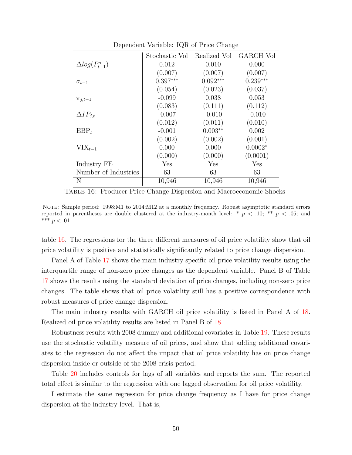<span id="page-50-0"></span>

|                         | Stochastic Vol | Realized Vol | <b>GARCH Vol</b> |
|-------------------------|----------------|--------------|------------------|
| $\Delta log(P_{t-1}^o)$ | 0.012          | 0.010        | 0.000            |
|                         | (0.007)        | (0.007)      | (0.007)          |
| $\sigma_{t-1}$          | $0.397***$     | $0.092***$   | $0.239***$       |
|                         | (0.054)        | (0.023)      | (0.037)          |
| $\pi_{j,t-1}$           | $-0.099$       | 0.038        | 0.053            |
|                         | (0.083)        | (0.111)      | (0.112)          |
| $\Delta IP_{i,t}$       | $-0.007$       | $-0.010$     | $-0.010$         |
|                         | (0.012)        | (0.011)      | (0.010)          |
| $EBP_t$                 | $-0.001$       | $0.003**$    | 0.002            |
|                         | (0.002)        | (0.002)      | (0.001)          |
| $VIX_{t-1}$             | 0.000          | 0.000        | $0.0002*$        |
|                         | (0.000)        | (0.000)      | (0.0001)         |
| Industry FE             | Yes            | Yes          | Yes              |
| Number of Industries    | 63             | 63           | 63               |
| N                       | 10,946         | 10,946       | 10,946           |

Dependent Variable: IQR of Price Change

Table 16: Producer Price Change Dispersion and Macroeconomic Shocks

NOTE: Sample period: 1998:M1 to 2014:M12 at a monthly frequency. Robust asymptotic standard errors reported in parentheses are double clustered at the industry-month level: \*  $p \lt 0.10$ ; \*\*  $p \lt 0.05$ ; and \*\*\*  $p < .01$ .

table [16.](#page-50-0) The regressions for the three different measures of oil price volatility show that oil price volatility is positive and statistically significantly related to price change dispersion.

Panel A of Table [17](#page-53-0) shows the main industry specific oil price volatility results using the interquartile range of non-zero price changes as the dependent variable. Panel B of Table [17](#page-53-0) shows the results using the standard deviation of price changes, including non-zero price changes. The table shows that oil price volatility still has a positive correspondence with robust measures of price change dispersion.

The main industry results with GARCH oil price volatility is listed in Panel A of [18.](#page-54-0) Realized oil price volatility results are listed in Panel B of [18.](#page-54-0)

Robustness results with 2008 dummy and additional covariates in Table [19.](#page-55-0) These results use the stochastic volatility measure of oil prices, and show that adding additional covariates to the regression do not affect the impact that oil price volatility has on price change dispersion inside or outside of the 2008 crisis period.

Table [20](#page-56-0) includes controls for lags of all variables and reports the sum. The reported total effect is similar to the regression with one lagged observation for oil price volatility.

I estimate the same regression for price change frequency as I have for price change dispersion at the industry level. That is,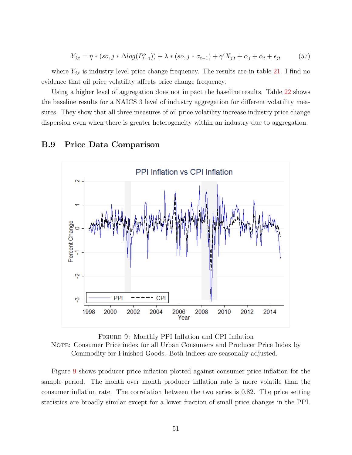$$
Y_{j,t} = \eta * (so, j * \Delta log(P_{t-1}^o)) + \lambda * (so, j * \sigma_{t-1}) + \gamma' X_{j,t} + \alpha_j + \alpha_t + \epsilon_{jt}
$$
(57)

where  $Y_{j,t}$  is industry level price change frequency. The results are in table [21.](#page-57-0) I find no evidence that oil price volatility affects price change frequency.

Using a higher level of aggregation does not impact the baseline results. Table [22](#page-58-0) shows the baseline results for a NAICS 3 level of industry aggregation for different volatility measures. They show that all three measures of oil price volatility increase industry price change dispersion even when there is greater heterogeneity within an industry due to aggregation.

<span id="page-51-1"></span>

# <span id="page-51-0"></span>B.9 Price Data Comparison

Figure 9: Monthly PPI Inflation and CPI Inflation

NOTE: Consumer Price index for all Urban Consumers and Producer Price Index by Commodity for Finished Goods. Both indices are seasonally adjusted.

Figure [9](#page-51-1) shows producer price inflation plotted against consumer price inflation for the sample period. The month over month producer inflation rate is more volatile than the consumer inflation rate. The correlation between the two series is 0.82. The price setting statistics are broadly similar except for a lower fraction of small price changes in the PPI.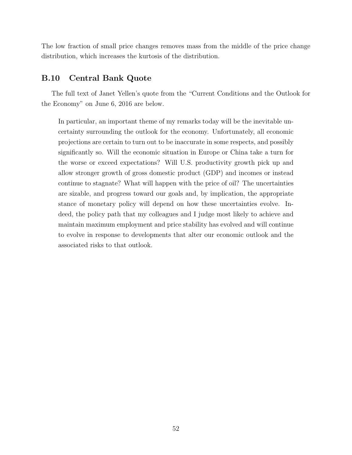The low fraction of small price changes removes mass from the middle of the price change distribution, which increases the kurtosis of the distribution.

# B.10 Central Bank Quote

The full text of Janet Yellen's quote from the "Current Conditions and the Outlook for the Economy" on June 6, 2016 are below.

In particular, an important theme of my remarks today will be the inevitable uncertainty surrounding the outlook for the economy. Unfortunately, all economic projections are certain to turn out to be inaccurate in some respects, and possibly significantly so. Will the economic situation in Europe or China take a turn for the worse or exceed expectations? Will U.S. productivity growth pick up and allow stronger growth of gross domestic product (GDP) and incomes or instead continue to stagnate? What will happen with the price of oil? The uncertainties are sizable, and progress toward our goals and, by implication, the appropriate stance of monetary policy will depend on how these uncertainties evolve. Indeed, the policy path that my colleagues and I judge most likely to achieve and maintain maximum employment and price stability has evolved and will continue to evolve in response to developments that alter our economic outlook and the associated risks to that outlook.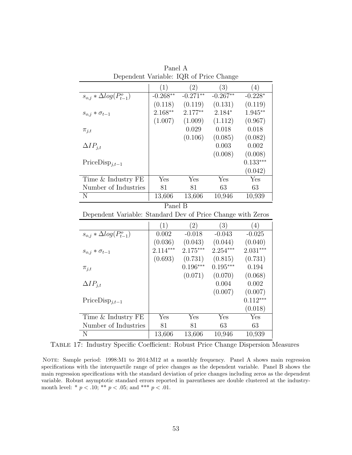<span id="page-53-0"></span>

|                                                             | (1)        | (2)                 | (3)        | (4)                  |
|-------------------------------------------------------------|------------|---------------------|------------|----------------------|
| $s_{o,j} * \Delta log(P_{t-1}^o)$                           | $-0.268**$ | $-0.271**$          | $-0.267**$ | $-0.228*$            |
|                                                             | (0.118)    | (0.119)             | (0.131)    | (0.119)              |
| $s_{o,j} * \sigma_{t-1}$                                    | $2.168**$  | $2.177**$           | $2.184*$   | $1.945**$            |
|                                                             | (1.007)    | (1.009)             | (1.112)    | (0.967)              |
| $\pi_{j,t}$                                                 |            | 0.029               | 0.018      | 0.018                |
|                                                             |            | (0.106)             | (0.085)    | (0.082)              |
| $\Delta IP_{j,t}$                                           |            |                     | 0.003      | 0.002                |
|                                                             |            |                     | (0.008)    | (0.008)              |
| $PriceDisp_{j,t-1}$                                         |            |                     |            | $0.133***$           |
|                                                             |            |                     |            | (0.042)              |
| Time & Industry FE                                          | Yes        | Yes                 | Yes        | $\operatorname{Yes}$ |
| Number of Industries                                        | 81         | 81                  | 63         | 63                   |
| $\overline{\rm N}$                                          | 13,606     | 13,606              | 10,946     | 10,939               |
|                                                             | Panel B    |                     |            |                      |
| Dependent Variable: Standard Dev of Price Change with Zeros |            |                     |            |                      |
|                                                             | (1)        | (2)                 | (3)        | (4)                  |
| $s_{o,j} * \Delta log(P_{t-1}^o)$                           | 0.002      | $-0.018$            | $-0.043$   | $-0.025$             |
|                                                             | (0.036)    | (0.043)             | (0.044)    | (0.040)              |
| $s_{o,i} * \sigma_{t-1}$                                    | $2.114***$ | $2.175***$          | $2.254***$ | $2.031***$           |
|                                                             |            | $(0.693)$ $(0.731)$ | (0.815)    | (0.731)              |
| $\pi_{j,t}$                                                 |            | $0.196***$          | $0.195***$ | 0.194                |
|                                                             |            | (0.071)             | (0.070)    | (0.068)              |
| $\Delta IP_{j,t}$                                           |            |                     | 0.004      | 0.002                |
|                                                             |            |                     | (0.007)    | (0.007)              |
| $PriceDisp_{j,t-1}$                                         |            |                     |            | $0.112***$           |
|                                                             |            |                     |            | (0.018)              |
| Time & Industry FE                                          | Yes        | Yes                 | Yes        | Yes                  |

Panel A Dependent Variable: IQR of Price Change

N 13,606 13,606 10,946 10,939 Table 17: Industry Specific Coefficient: Robust Price Change Dispersion Measures

Number of Industries  $\begin{array}{|l} 81 & 81 & 63 \end{array}$  63

NOTE: Sample period: 1998:M1 to 2014:M12 at a monthly frequency. Panel A shows main regression specifications with the interquartile range of price changes as the dependent variable. Panel B shows the main regression specifications with the standard deviation of price changes including zeros as the dependent variable. Robust asymptotic standard errors reported in parentheses are double clustered at the industrymonth level: \* $p<.10;$  \*\*  $p<.05;$  and \*\*\*  $p<.01.$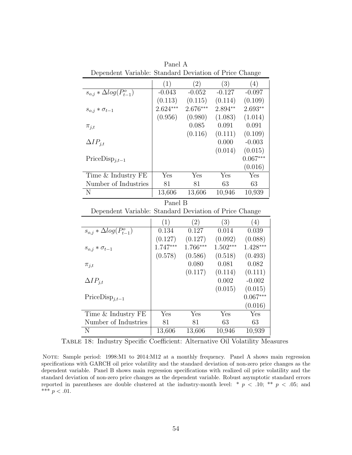<span id="page-54-0"></span>Panel A Dependent Variable: Standard Deviation of Price Change

|                                   | (1)        | (2)        | (3)      | (4)        |
|-----------------------------------|------------|------------|----------|------------|
| $s_{o,j} * \Delta log(P_{t-1}^o)$ | $-0.043$   | $-0.052$   | $-0.127$ | $-0.097$   |
|                                   | (0.113)    | (0.115)    | (0.114)  | (0.109)    |
| $s_{o,i} * \sigma_{t-1}$          | $2.624***$ | $2.676***$ | 2.894**  | $2.693**$  |
|                                   | (0.956)    | (0.980)    | (1.083)  | (1.014)    |
| $\pi_{i,t}$                       |            | 0.085      | 0.091    | 0.091      |
|                                   |            | (0.116)    | (0.111)  | (0.109)    |
| $\Delta IP_{i,t}$                 |            |            | 0.000    | $-0.003$   |
|                                   |            |            | (0.014)  | (0.015)    |
| $PriceDisp_{i,t-1}$               |            |            |          | $0.067***$ |
|                                   |            |            |          | (0.016)    |
| Time & Industry FE                | Yes        | Yes        | Yes      | Yes        |
| Number of Industries              | 81         | 81         | 63       | 63         |
| N                                 | 13,606     | 13,606     | 10,946   | 10,939     |

#### Panel B

Dependent Variable: Standard Deviation of Price Change

|                                   | (1)      | (2)      | (3)        | (4)        |
|-----------------------------------|----------|----------|------------|------------|
| $s_{o,j} * \Delta log(P_{t-1}^o)$ | 0.134    | 0.127    | 0.014      | 0.039      |
|                                   | (0.127)  | (0.127)  | (0.092)    | (0.088)    |
| $s_{o,j} * \sigma_{t-1}$          | 1.747*** | 1.766*** | $1.502***$ | $1.428***$ |
|                                   | (0.578)  | (0.586)  | (0.518)    | (0.493)    |
| $\pi_{j,t}$                       |          | 0.080    | 0.081      | 0.082      |
|                                   |          | (0.117)  | (0.114)    | (0.111)    |
| $\Delta IP_{i,t}$                 |          |          | 0.002      | $-0.002$   |
|                                   |          |          | (0.015)    | (0.015)    |
| $PriceDisp_{i,t-1}$               |          |          |            | $0.067***$ |
|                                   |          |          |            | (0.016)    |
| Time & Industry FE                | Yes      | Yes      | Yes        | Yes        |
| Number of Industries              | 81       | 81       | 63         | 63         |
| N                                 | 13,606   | 13,606   | 10,946     | 10,939     |

Table 18: Industry Specific Coefficient: Alternative Oil Volatility Measures

NOTE: Sample period: 1998:M1 to 2014:M12 at a monthly frequency. Panel A shows main regression specifications with GARCH oil price volatility and the standard deviation of non-zero price changes as the dependent variable. Panel B shows main regression specifications with realized oil price volatility and the standard deviation of non-zero price changes as the dependent variable. Robust asymptotic standard errors reported in parentheses are double clustered at the industry-month level: \*  $p < .10$ ; \*\*  $p < .05$ ; and \*\*\*  $p < .01$ .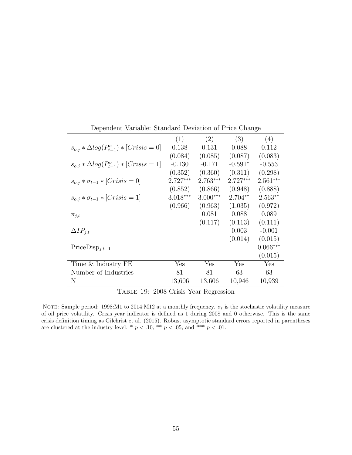<span id="page-55-0"></span>

|                                                    | (1)        | (2)        | (3)        | (4)        |
|----------------------------------------------------|------------|------------|------------|------------|
| $s_{o,i} * \Delta log(P_{t-1}^{o}) * [Crisis = 0]$ | 0.138      | 0.131      | 0.088      | 0.112      |
|                                                    | (0.084)    | (0.085)    | (0.087)    | (0.083)    |
| $s_{o,j} * \Delta log(P_{t-1}^o) * [Crisis = 1]$   | $-0.130$   | $-0.171$   | $-0.591*$  | $-0.553$   |
|                                                    | (0.352)    | (0.360)    | (0.311)    | (0.298)    |
| $s_{o,i} * \sigma_{t-1} * [Crisis = 0]$            | $2.727***$ | $2.763***$ | $2.727***$ | $2.561***$ |
|                                                    | (0.852)    | (0.866)    | (0.948)    | (0.888)    |
| $s_{o,i} * \sigma_{t-1} * [Crisis = 1]$            | $3.018***$ | $3.000***$ | $2.704**$  | $2.563**$  |
|                                                    | (0.966)    | (0.963)    | (1.035)    | (0.972)    |
| $\pi_{j,t}$                                        |            | 0.081      | 0.088      | 0.089      |
|                                                    |            | (0.117)    | (0.113)    | (0.111)    |
| $\Delta IP_{i,t}$                                  |            |            | 0.003      | $-0.001$   |
|                                                    |            |            | (0.014)    | (0.015)    |
| $PriceDisp_{j,t-1}$                                |            |            |            | $0.066***$ |
|                                                    |            |            |            | (0.015)    |
| Time & Industry FE                                 | Yes        | Yes        | Yes        | Yes        |
| Number of Industries                               | 81         | 81         | 63         | 63         |
| N                                                  | 13,606     | 13,606     | 10,946     | 10,939     |

Dependent Variable: Standard Deviation of Price Change

Table 19: 2008 Crisis Year Regression

NOTE: Sample period: 1998:M1 to 2014:M12 at a monthly frequency.  $\sigma_t$  is the stochastic volatility measure of oil price volatility. Crisis year indicator is defined as 1 during 2008 and 0 otherwise. This is the same crisis definition timing as Gilchrist et al. (2015). Robust asymptotic standard errors reported in parentheses are clustered at the industry level: \*  $p < .10$ ; \*\*  $p < .05$ ; and \*\*\*  $p < .01$ .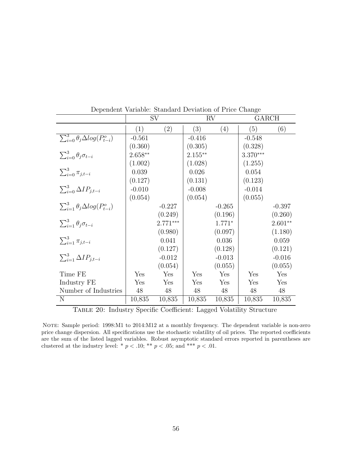<span id="page-56-0"></span>

|                                                 |           | <b>SV</b>  |            | RV       | GARCH    |           |
|-------------------------------------------------|-----------|------------|------------|----------|----------|-----------|
|                                                 | (1)       | (2)        | (3)        | (4)      | (5)      | (6)       |
| $\sum_{i=0}^{3} \theta_i \Delta log(P_{t-i}^o)$ | $-0.561$  |            | $-0.416$   |          | $-0.548$ |           |
|                                                 | (0.360)   |            | (0.305)    |          | (0.328)  |           |
| $\sum_{i=0}^{3} \theta_i \sigma_{t-i}$          | $2.658**$ |            | $2.155***$ |          | 3.370*** |           |
|                                                 | (1.002)   |            | (1.028)    |          | (1.255)  |           |
| $\sum_{i=0}^{3} \pi_{j,t-i}$                    | 0.039     |            | 0.026      |          | 0.054    |           |
|                                                 | (0.127)   |            | (0.131)    |          | (0.123)  |           |
| $\sum_{i=0}^{3} \Delta IP_{j,t-i}$              | $-0.010$  |            | $-0.008$   |          | $-0.014$ |           |
|                                                 | (0.054)   |            | (0.054)    |          | (0.055)  |           |
| $\sum_{i=1}^3 \theta_i \Delta log(P_{t-i}^o)$   |           | $-0.227$   |            | $-0.265$ |          | $-0.397$  |
|                                                 |           | (0.249)    |            | (0.196)  |          | (0.260)   |
| $\sum_{i=1}^{3} \theta_i \sigma_{t-i}$          |           | $2.771***$ |            | $1.771*$ |          | $2.601**$ |
|                                                 |           | (0.980)    |            | (0.097)  |          | (1.180)   |
| $\sum_{i=1}^{3} \pi_{j,t-i}$                    |           | 0.041      |            | 0.036    |          | 0.059     |
|                                                 |           | (0.127)    |            | (0.128)  |          | (0.121)   |
| $\sum_{i=1}^{3} \Delta IP_{i,t-i}$              |           | $-0.012$   |            | $-0.013$ |          | $-0.016$  |
|                                                 |           | (0.054)    |            | (0.055)  |          | (0.055)   |
| Time FE                                         | Yes       | Yes        | Yes        | Yes      | Yes      | Yes       |
| Industry FE                                     | Yes       | Yes        | Yes        | Yes      | Yes      | Yes       |
| Number of Industries                            | 48        | 48         | 48         | 48       | 48       | 48        |
| N                                               | 10,835    | 10,835     | 10,835     | 10,835   | 10,835   | 10,835    |

Dependent Variable: Standard Deviation of Price Change

Table 20: Industry Specific Coefficient: Lagged Volatility Structure

NOTE: Sample period: 1998:M1 to 2014:M12 at a monthly frequency. The dependent variable is non-zero price change dispersion. All specifications use the stochastic volatility of oil prices. The reported coefficients are the sum of the listed lagged variables. Robust asymptotic standard errors reported in parentheses are clustered at the industry level: \*  $p < .10$ ; \*\*  $p < .05$ ; and \*\*\*  $p < .01$ .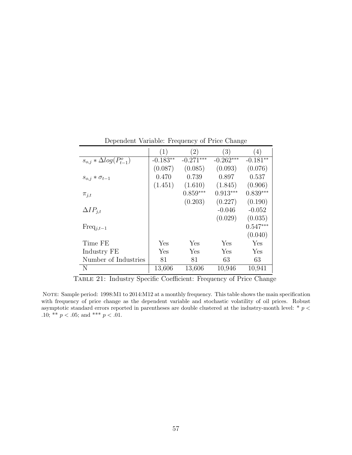<span id="page-57-0"></span>

|                                   | (1)        | (2)         | (3)         | (4)        |
|-----------------------------------|------------|-------------|-------------|------------|
| $s_{o,j} * \Delta log(P_{t-1}^o)$ | $-0.183**$ | $-0.271***$ | $-0.262***$ | $-0.181**$ |
|                                   | (0.087)    | (0.085)     | (0.093)     | (0.076)    |
| $s_{o,j} * \sigma_{t-1}$          | 0.470      | 0.739       | 0.897       | 0.537      |
|                                   | (1.451)    | (1.610)     | (1.845)     | (0.906)    |
| $\pi_{j,t}$                       |            | $0.859***$  | $0.913***$  | $0.839***$ |
|                                   |            | (0.203)     | (0.227)     | (0.190)    |
| $\Delta IP_{i,t}$                 |            |             | $-0.046$    | $-0.052$   |
|                                   |            |             | (0.029)     | (0.035)    |
| $Freq_{i,t-1}$                    |            |             |             | $0.547***$ |
|                                   |            |             |             | (0.040)    |
| Time FE                           | Yes        | Yes         | Yes         | Yes        |
| Industry FE                       | Yes        | Yes         | Yes         | Yes        |
| Number of Industries              | 81         | 81          | 63          | 63         |
| N                                 | 13,606     | 13,606      | 10,946      | 10,941     |

Dependent Variable: Frequency of Price Change

Table 21: Industry Specific Coefficient: Frequency of Price Change

NOTE: Sample period: 1998:M1 to 2014:M12 at a monthly frequency. This table shows the main specification with frequency of price change as the dependent variable and stochastic volatility of oil prices. Robust asymptotic standard errors reported in parentheses are double clustered at the industry-month level:  $*$   $p$  < .10; \*\*  $p < .05$ ; and \*\*\*  $p < .01$ .